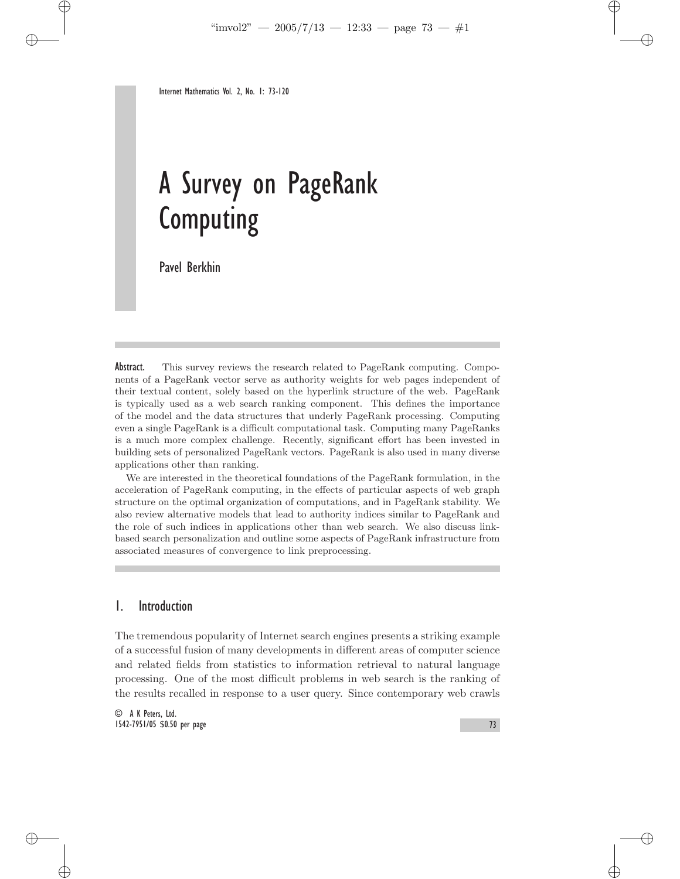Internet Mathematics Vol. 2, No. 1: 73-120

✐

✐

# A Survey on PageRank **Computing**

Pavel Berkhin

Abstract. This survey reviews the research related to PageRank computing. Components of a PageRank vector serve as authority weights for web pages independent of their textual content, solely based on the hyperlink structure of the web. PageRank is typically used as a web search ranking component. This defines the importance of the model and the data structures that underly PageRank processing. Computing even a single PageRank is a difficult computational task. Computing many PageRanks is a much more complex challenge. Recently, significant effort has been invested in building sets of personalized PageRank vectors. PageRank is also used in many diverse applications other than ranking.

We are interested in the theoretical foundations of the PageRank formulation, in the acceleration of PageRank computing, in the effects of particular aspects of web graph structure on the optimal organization of computations, and in PageRank stability. We also review alternative models that lead to authority indices similar to PageRank and the role of such indices in applications other than web search. We also discuss linkbased search personalization and outline some aspects of PageRank infrastructure from associated measures of convergence to link preprocessing.

# 1. Introduction

The tremendous popularity of Internet search engines presents a striking example of a successful fusion of many developments in different areas of computer science and related fields from statistics to information retrieval to natural language processing. One of the most difficult problems in web search is the ranking of the results recalled in response to a user query. Since contemporary web crawls

© A K Peters, Ltd. 1542-7951/05 \$0.50 per page 73

✐

✐

✐

✐

✐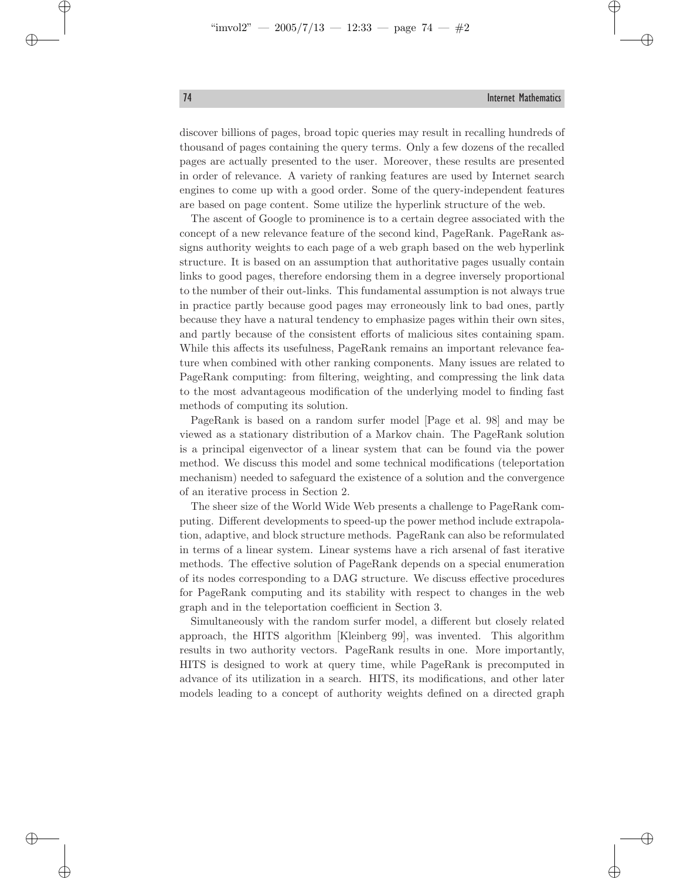✐

✐

✐

✐

discover billions of pages, broad topic queries may result in recalling hundreds of thousand of pages containing the query terms. Only a few dozens of the recalled pages are actually presented to the user. Moreover, these results are presented in order of relevance. A variety of ranking features are used by Internet search engines to come up with a good order. Some of the query-independent features are based on page content. Some utilize the hyperlink structure of the web.

The ascent of Google to prominence is to a certain degree associated with the concept of a new relevance feature of the second kind, PageRank. PageRank assigns authority weights to each page of a web graph based on the web hyperlink structure. It is based on an assumption that authoritative pages usually contain links to good pages, therefore endorsing them in a degree inversely proportional to the number of their out-links. This fundamental assumption is not always true in practice partly because good pages may erroneously link to bad ones, partly because they have a natural tendency to emphasize pages within their own sites, and partly because of the consistent efforts of malicious sites containing spam. While this affects its usefulness, PageRank remains an important relevance feature when combined with other ranking components. Many issues are related to PageRank computing: from filtering, weighting, and compressing the link data to the most advantageous modification of the underlying model to finding fast methods of computing its solution.

PageRank is based on a random surfer model [Page et al. 98] and may be viewed as a stationary distribution of a Markov chain. The PageRank solution is a principal eigenvector of a linear system that can be found via the power method. We discuss this model and some technical modifications (teleportation mechanism) needed to safeguard the existence of a solution and the convergence of an iterative process in Section 2.

The sheer size of the World Wide Web presents a challenge to PageRank computing. Different developments to speed-up the power method include extrapolation, adaptive, and block structure methods. PageRank can also be reformulated in terms of a linear system. Linear systems have a rich arsenal of fast iterative methods. The effective solution of PageRank depends on a special enumeration of its nodes corresponding to a DAG structure. We discuss effective procedures for PageRank computing and its stability with respect to changes in the web graph and in the teleportation coefficient in Section 3.

Simultaneously with the random surfer model, a different but closely related approach, the HITS algorithm [Kleinberg 99], was invented. This algorithm results in two authority vectors. PageRank results in one. More importantly, HITS is designed to work at query time, while PageRank is precomputed in advance of its utilization in a search. HITS, its modifications, and other later models leading to a concept of authority weights defined on a directed graph

✐

✐

✐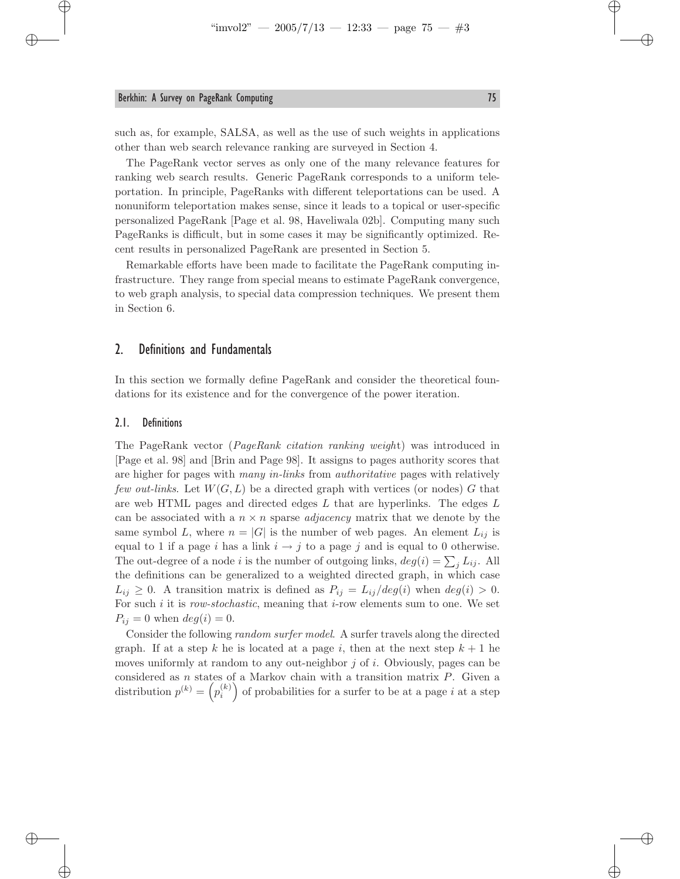✐

✐

✐

✐

such as, for example, SALSA, as well as the use of such weights in applications other than web search relevance ranking are surveyed in Section 4.

The PageRank vector serves as only one of the many relevance features for ranking web search results. Generic PageRank corresponds to a uniform teleportation. In principle, PageRanks with different teleportations can be used. A nonuniform teleportation makes sense, since it leads to a topical or user-specific personalized PageRank [Page et al. 98, Haveliwala 02b]. Computing many such PageRanks is difficult, but in some cases it may be significantly optimized. Recent results in personalized PageRank are presented in Section 5.

Remarkable efforts have been made to facilitate the PageRank computing infrastructure. They range from special means to estimate PageRank convergence, to web graph analysis, to special data compression techniques. We present them in Section 6.

# 2. Definitions and Fundamentals

In this section we formally define PageRank and consider the theoretical foundations for its existence and for the convergence of the power iteration.

# 2.1. Definitions

The PageRank vector (*PageRank citation ranking weigh*t) was introduced in [Page et al. 98] and [Brin and Page 98]. It assigns to pages authority scores that are higher for pages with *many in-links* from *authoritative* pages with relatively *few out-links.* Let  $W(G, L)$  be a directed graph with vertices (or nodes) G that are web HTML pages and directed edges  $L$  that are hyperlinks. The edges  $L$ can be associated with a  $n \times n$  sparse *adjacency* matrix that we denote by the same symbol L, where  $n = |G|$  is the number of web pages. An element  $L_{ij}$  is equal to 1 if a page i has a link  $i \rightarrow j$  to a page j and is equal to 0 otherwise. The out-degree of a node *i* is the number of outgoing links,  $deg(i) = \sum_{i} L_{ij}$ . All the definitions can be generalized to a weighted directed graph, in which case  $L_{ij} \geq 0$ . A transition matrix is defined as  $P_{ij} = L_{ij}/deg(i)$  when  $deg(i) > 0$ . For such *i* it is *row-stochastic*, meaning that *i*-row elements sum to one. We set  $P_{ij} = 0$  when  $deg(i) = 0$ .

Consider the following *random surfer model*. A surfer travels along the directed graph. If at a step k he is located at a page i, then at the next step  $k + 1$  he moves uniformly at random to any out-neighbor  $j$  of  $i$ . Obviously, pages can be considered as n states of a Markov chain with a transition matrix P. Given a distribution  $p^{(k)} = (p_i^{(k)})$  of probabilities for a surfer to be at a page i at a step ✐

✐

✐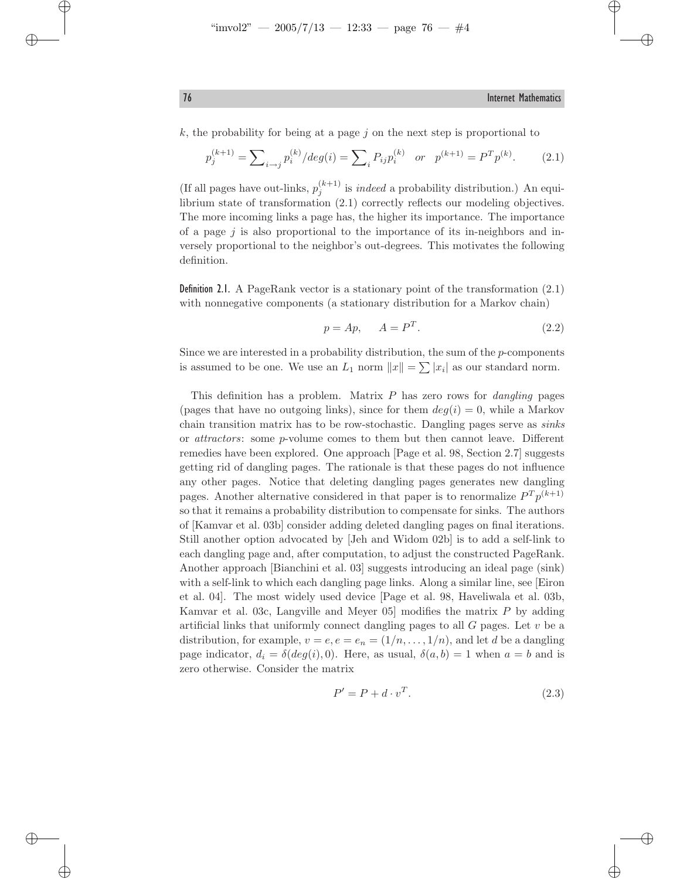✐

✐

✐

✐

 $k$ , the probability for being at a page j on the next step is proportional to

$$
p_j^{(k+1)} = \sum_{i \to j} p_i^{(k)} / deg(i) = \sum_i P_{ij} p_i^{(k)} \quad or \quad p^{(k+1)} = P^T p^{(k)}.
$$
 (2.1)

(If all pages have out-links,  $p_i^{(k+1)}$  is *indeed* a probability distribution.) An equilibrium state of transformation (2.1) correctly reflects our modeling objectives. The more incoming links a page has, the higher its importance. The importance of a page  $j$  is also proportional to the importance of its in-neighbors and inversely proportional to the neighbor's out-degrees. This motivates the following definition.

Definition 2.1. A PageRank vector is a stationary point of the transformation (2.1) with nonnegative components (a stationary distribution for a Markov chain)

$$
p = Ap, \qquad A = P^T. \tag{2.2}
$$

Since we are interested in a probability distribution, the sum of the  $p$ -components is assumed to be one. We use an  $L_1$  norm  $||x|| = \sum |x_i|$  as our standard norm.

This definition has a problem. Matrix P has zero rows for *dangling* pages (pages that have no outgoing links), since for them  $deg(i) = 0$ , while a Markov chain transition matrix has to be row-stochastic. Dangling pages serve as *sinks* or *attractors*: some p-volume comes to them but then cannot leave. Different remedies have been explored. One approach [Page et al. 98, Section 2.7] suggests getting rid of dangling pages. The rationale is that these pages do not influence any other pages. Notice that deleting dangling pages generates new dangling pages. Another alternative considered in that paper is to renormalize  $P^{T} p^{(k+1)}$ so that it remains a probability distribution to compensate for sinks. The authors of [Kamvar et al. 03b] consider adding deleted dangling pages on final iterations. Still another option advocated by [Jeh and Widom 02b] is to add a self-link to each dangling page and, after computation, to adjust the constructed PageRank. Another approach [Bianchini et al. 03] suggests introducing an ideal page (sink) with a self-link to which each dangling page links. Along a similar line, see [Eiron et al. 04]. The most widely used device [Page et al. 98, Haveliwala et al. 03b, Kamvar et al. 03c, Langville and Meyer 05] modifies the matrix P by adding artificial links that uniformly connect dangling pages to all  $G$  pages. Let  $v$  be a distribution, for example,  $v = e$ ,  $e = e_n = (1/n, \ldots, 1/n)$ , and let d be a dangling page indicator,  $d_i = \delta(deg(i), 0)$ . Here, as usual,  $\delta(a, b) = 1$  when  $a = b$  and is zero otherwise. Consider the matrix

$$
P' = P + d \cdot v^T. \tag{2.3}
$$

✐

✐

✐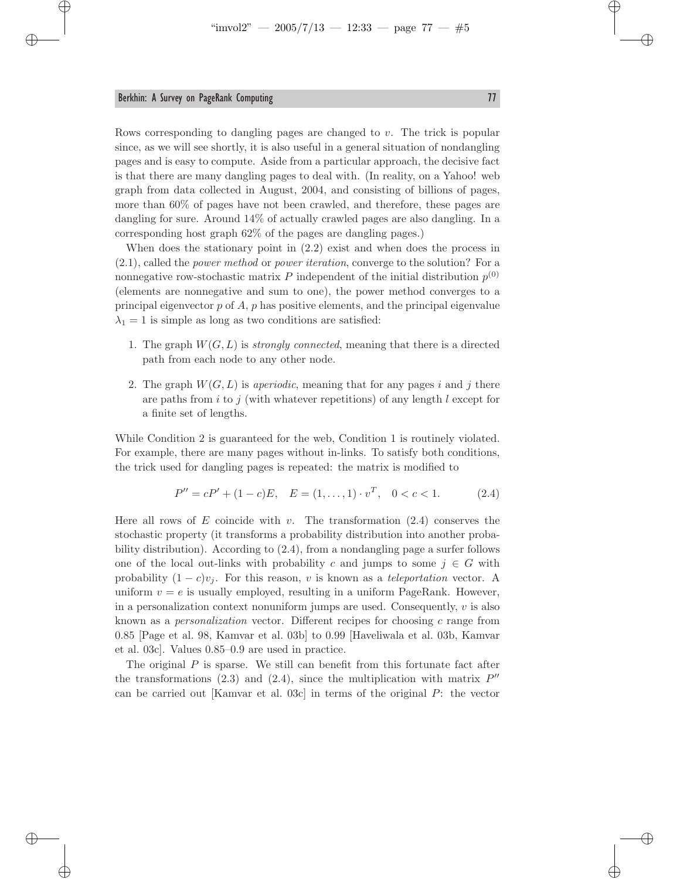✐

✐

✐

✐

Rows corresponding to dangling pages are changed to  $v$ . The trick is popular since, as we will see shortly, it is also useful in a general situation of nondangling pages and is easy to compute. Aside from a particular approach, the decisive fact is that there are many dangling pages to deal with. (In reality, on a Yahoo! web graph from data collected in August, 2004, and consisting of billions of pages, more than 60% of pages have not been crawled, and therefore, these pages are dangling for sure. Around 14% of actually crawled pages are also dangling. In a corresponding host graph 62% of the pages are dangling pages.)

When does the stationary point in  $(2.2)$  exist and when does the process in (2.1), called the *power method* or *power iteration*, converge to the solution? For a nonnegative row-stochastic matrix P independent of the initial distribution  $p^{(0)}$ (elements are nonnegative and sum to one), the power method converges to a principal eigenvector  $p$  of  $A$ ,  $p$  has positive elements, and the principal eigenvalue  $\lambda_1 = 1$  is simple as long as two conditions are satisfied:

- 1. The graph  $W(G, L)$  is *strongly connected*, meaning that there is a directed path from each node to any other node.
- 2. The graph  $W(G, L)$  is *aperiodic*, meaning that for any pages i and j there are paths from  $i$  to  $j$  (with whatever repetitions) of any length  $l$  except for a finite set of lengths.

While Condition 2 is guaranteed for the web, Condition 1 is routinely violated. For example, there are many pages without in-links. To satisfy both conditions, the trick used for dangling pages is repeated: the matrix is modified to

$$
P'' = cP' + (1 - c)E, \quad E = (1, ..., 1) \cdot v^T, \quad 0 < c < 1. \tag{2.4}
$$

Here all rows of E coincide with v. The transformation  $(2.4)$  conserves the stochastic property (it transforms a probability distribution into another probability distribution). According to (2.4), from a nondangling page a surfer follows one of the local out-links with probability c and jumps to some  $j \in G$  with probability  $(1 - c)v_i$ . For this reason, v is known as a *teleportation* vector. A uniform  $v = e$  is usually employed, resulting in a uniform PageRank. However, in a personalization context nonuniform jumps are used. Consequently,  $v$  is also known as a *personalization* vector. Different recipes for choosing c range from 0.85 [Page et al. 98, Kamvar et al. 03b] to 0.99 [Haveliwala et al. 03b, Kamvar et al. 03c]. Values 0.85–0.9 are used in practice.

The original  $P$  is sparse. We still can benefit from this fortunate fact after the transformations (2.3) and (2.4), since the multiplication with matrix  $P''$ can be carried out [Kamvar et al. 03c] in terms of the original P: the vector

✐

✐

✐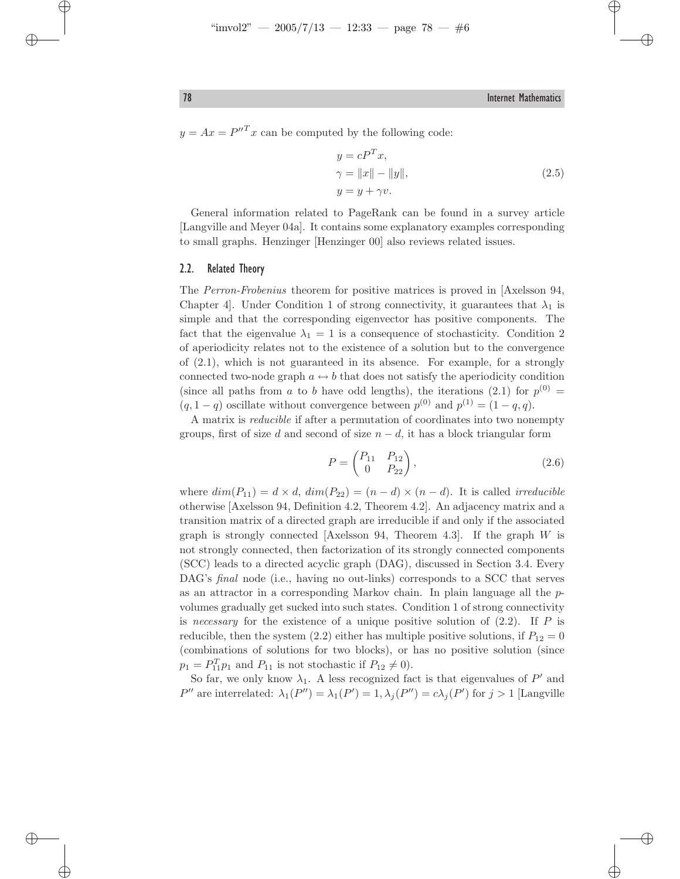✐

✐

✐

✐

✐

✐

✐

✐

 $y = Ax = P''^{T}x$  can be computed by the following code:

$$
y = cP^{T}x,
$$
  
\n
$$
\gamma = \|x\| - \|y\|,
$$
  
\n
$$
y = y + \gamma v.
$$
\n(2.5)

General information related to PageRank can be found in a survey article [Langville and Meyer 04a]. It contains some explanatory examples corresponding to small graphs. Henzinger [Henzinger 00] also reviews related issues.

# 2.2. Related Theory

The *Perron-Frobenius* theorem for positive matrices is proved in [Axelsson 94, Chapter 4. Under Condition 1 of strong connectivity, it guarantees that  $\lambda_1$  is simple and that the corresponding eigenvector has positive components. The fact that the eigenvalue  $\lambda_1 = 1$  is a consequence of stochasticity. Condition 2 of aperiodicity relates not to the existence of a solution but to the convergence of (2.1), which is not guaranteed in its absence. For example, for a strongly connected two-node graph  $a \leftrightarrow b$  that does not satisfy the aperiodicity condition (since all paths from a to b have odd lengths), the iterations (2.1) for  $p^{(0)} =$  $(q, 1-q)$  oscillate without convergence between  $p^{(0)}$  and  $p^{(1)} = (1-q, q)$ .

A matrix is *reducible* if after a permutation of coordinates into two nonempty groups, first of size d and second of size  $n - d$ , it has a block triangular form

$$
P = \begin{pmatrix} P_{11} & P_{12} \\ 0 & P_{22} \end{pmatrix},
$$
 (2.6)

where  $dim(P_{11}) = d \times d$ ,  $dim(P_{22}) = (n - d) \times (n - d)$ . It is called *irreducible* otherwise [Axelsson 94, Definition 4.2, Theorem 4.2]. An adjacency matrix and a transition matrix of a directed graph are irreducible if and only if the associated graph is strongly connected [Axelsson 94, Theorem 4.3]. If the graph W is not strongly connected, then factorization of its strongly connected components (SCC) leads to a directed acyclic graph (DAG), discussed in Section 3.4. Every DAG's *final* node (i.e., having no out-links) corresponds to a SCC that serves as an attractor in a corresponding Markov chain. In plain language all the pvolumes gradually get sucked into such states. Condition 1 of strong connectivity is *necessary* for the existence of a unique positive solution of  $(2.2)$ . If P is reducible, then the system (2.2) either has multiple positive solutions, if  $P_{12} = 0$ (combinations of solutions for two blocks), or has no positive solution (since  $p_1 = P_{11}^T p_1$  and  $P_{11}$  is not stochastic if  $P_{12} \neq 0$ .

So far, we only know  $\lambda_1$ . A less recognized fact is that eigenvalues of  $P'$  and P'' are interrelated:  $\lambda_1(P'') = \lambda_1(P') = 1, \lambda_j(P'') = c\lambda_j(P')$  for  $j > 1$  [Langville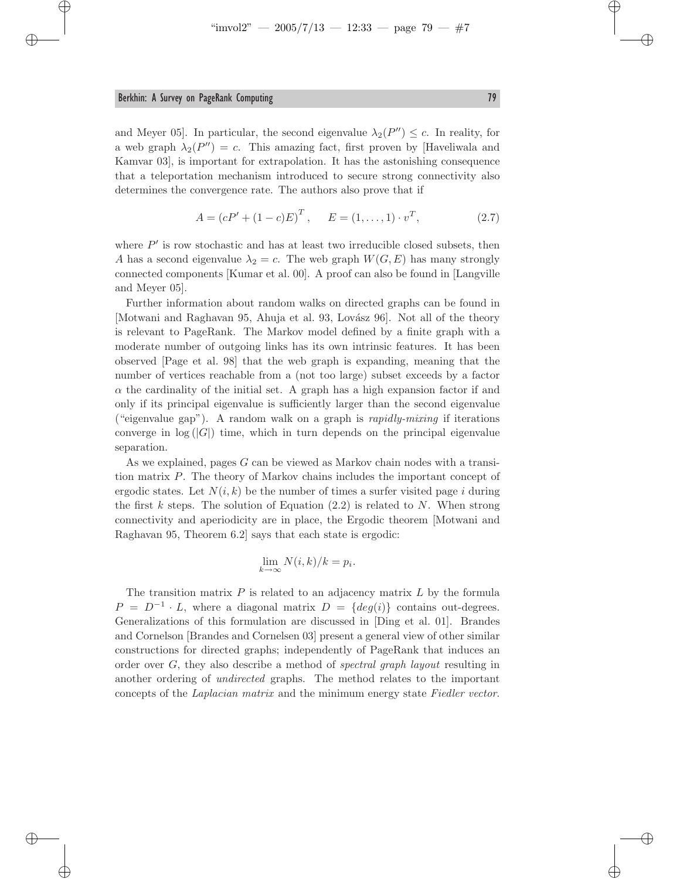✐

✐

✐

✐

and Meyer 05. In particular, the second eigenvalue  $\lambda_2(P'') \leq c$ . In reality, for a web graph  $\lambda_2(P'') = c$ . This amazing fact, first proven by [Haveliwala and Kamvar 03], is important for extrapolation. It has the astonishing consequence that a teleportation mechanism introduced to secure strong connectivity also determines the convergence rate. The authors also prove that if

$$
A = (cP' + (1 - c)E)^T, \qquad E = (1, ..., 1) \cdot v^T,
$$
\n(2.7)

where  $P'$  is row stochastic and has at least two irreducible closed subsets, then A has a second eigenvalue  $\lambda_2 = c$ . The web graph  $W(G, E)$  has many strongly connected components [Kumar et al. 00]. A proof can also be found in [Langville and Meyer 05].

Further information about random walks on directed graphs can be found in [Motwani and Raghavan 95, Ahuja et al. 93, Lovász 96]. Not all of the theory is relevant to PageRank. The Markov model defined by a finite graph with a moderate number of outgoing links has its own intrinsic features. It has been observed [Page et al. 98] that the web graph is expanding, meaning that the number of vertices reachable from a (not too large) subset exceeds by a factor  $\alpha$  the cardinality of the initial set. A graph has a high expansion factor if and only if its principal eigenvalue is sufficiently larger than the second eigenvalue ("eigenvalue gap"). A random walk on a graph is *rapidly-mixing* if iterations converge in  $log(|G|)$  time, which in turn depends on the principal eigenvalue separation.

As we explained, pages G can be viewed as Markov chain nodes with a transition matrix P. The theory of Markov chains includes the important concept of ergodic states. Let  $N(i,k)$  be the number of times a surfer visited page i during the first  $k$  steps. The solution of Equation  $(2.2)$  is related to N. When strong connectivity and aperiodicity are in place, the Ergodic theorem [Motwani and Raghavan 95, Theorem 6.2] says that each state is ergodic:

$$
\lim_{k \to \infty} N(i,k)/k = p_i.
$$

The transition matrix  $P$  is related to an adjacency matrix  $L$  by the formula  $P = D^{-1} \cdot L$ , where a diagonal matrix  $D = \{deg(i)\}\$ contains out-degrees. Generalizations of this formulation are discussed in [Ding et al. 01]. Brandes and Cornelson [Brandes and Cornelsen 03] present a general view of other similar constructions for directed graphs; independently of PageRank that induces an order over G, they also describe a method of *spectral graph layout* resulting in another ordering of *undirected* graphs. The method relates to the important concepts of the *Laplacian matrix* and the minimum energy state *Fiedler vector*.

✐

✐

✐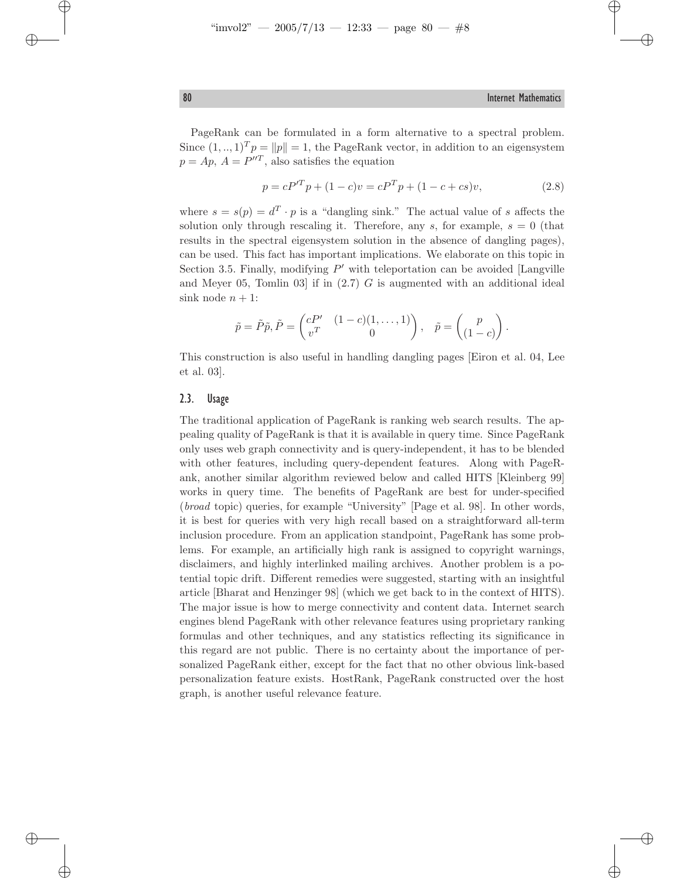✐

✐

✐

✐

PageRank can be formulated in a form alternative to a spectral problem. Since  $(1, ..., 1)^T p = ||p|| = 1$ , the PageRank vector, in addition to an eigensystem  $p = Ap$ ,  $A = P''^T$ , also satisfies the equation

$$
p = cP^{T}p + (1 - c)v = cP^{T}p + (1 - c + cs)v,
$$
\n(2.8)

where  $s = s(p) = d^T \cdot p$  is a "dangling sink." The actual value of s affects the solution only through rescaling it. Therefore, any s, for example,  $s = 0$  (that results in the spectral eigensystem solution in the absence of dangling pages), can be used. This fact has important implications. We elaborate on this topic in Section 3.5. Finally, modifying  $P'$  with teleportation can be avoided [Langville and Meyer 05, Tomlin 03 if in  $(2.7)$  G is augmented with an additional ideal sink node  $n + 1$ :

$$
\tilde{p} = \tilde{P}\tilde{p}, \tilde{P} = \begin{pmatrix} cP' & (1-c)(1, \dots, 1) \\ v^T & 0 \end{pmatrix}, \quad \tilde{p} = \begin{pmatrix} p \\ (1-c) \end{pmatrix}.
$$

This construction is also useful in handling dangling pages [Eiron et al. 04, Lee et al. 03].

### 2.3. Usage

The traditional application of PageRank is ranking web search results. The appealing quality of PageRank is that it is available in query time. Since PageRank only uses web graph connectivity and is query-independent, it has to be blended with other features, including query-dependent features. Along with PageRank, another similar algorithm reviewed below and called HITS [Kleinberg 99] works in query time. The benefits of PageRank are best for under-specified (*broad* topic) queries, for example "University" [Page et al. 98]. In other words, it is best for queries with very high recall based on a straightforward all-term inclusion procedure. From an application standpoint, PageRank has some problems. For example, an artificially high rank is assigned to copyright warnings, disclaimers, and highly interlinked mailing archives. Another problem is a potential topic drift. Different remedies were suggested, starting with an insightful article [Bharat and Henzinger 98] (which we get back to in the context of HITS). The major issue is how to merge connectivity and content data. Internet search engines blend PageRank with other relevance features using proprietary ranking formulas and other techniques, and any statistics reflecting its significance in this regard are not public. There is no certainty about the importance of personalized PageRank either, except for the fact that no other obvious link-based personalization feature exists. HostRank, PageRank constructed over the host graph, is another useful relevance feature.

✐

✐

✐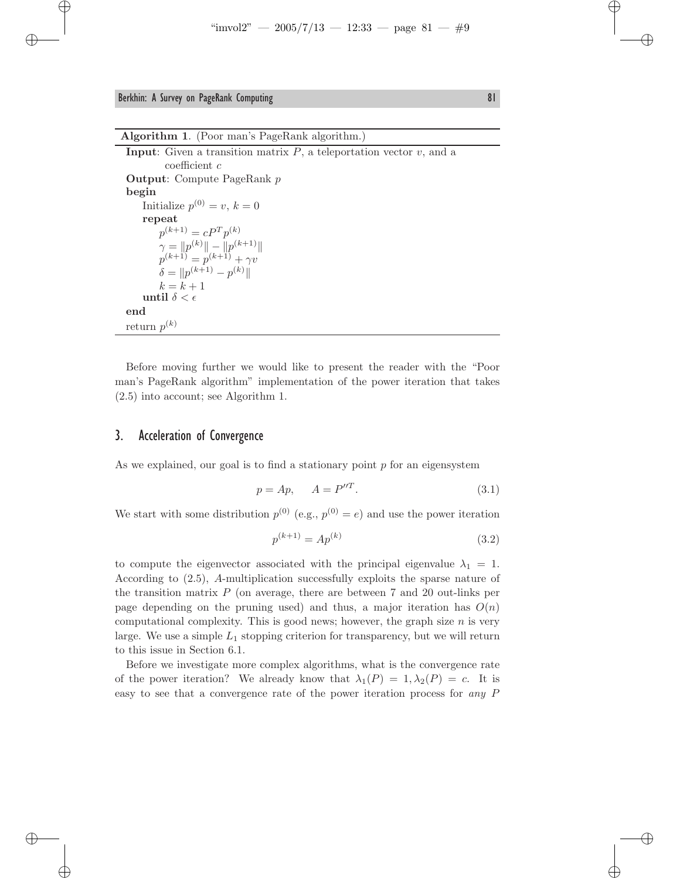✐

✐

✐

 $\oplus$ 

**Algorithm 1**. (Poor man's PageRank algorithm.) **Input**: Given a transition matrix  $P$ , a teleportation vector  $v$ , and a coefficient c **Output**: Compute PageRank p **begin** Initialize  $p^{(0)} = v, k = 0$ **repeat**  $p^{(k+1)} = cP^{T}p^{(k)}$  $\gamma = \|p^{(k)}\| - \|p^{(k+1)}\|$  $p^{(k+1)} = p^{(k+1)} + \gamma v$  $\delta = \|p^{(k+1)} - p^{(k)}\|$  $k = k + 1$ **until**  $\delta < \epsilon$ **end** return  $p^{(k)}$ 

Before moving further we would like to present the reader with the "Poor man's PageRank algorithm" implementation of the power iteration that takes (2.5) into account; see Algorithm 1.

# 3. Acceleration of Convergence

As we explained, our goal is to find a stationary point  $p$  for an eigensystem

$$
p = Ap, \qquad A = P^{\prime\prime T}.\tag{3.1}
$$

We start with some distribution  $p^{(0)}$  (e.g.,  $p^{(0)} = e$ ) and use the power iteration

$$
p^{(k+1)} = Ap^{(k)} \tag{3.2}
$$

to compute the eigenvector associated with the principal eigenvalue  $\lambda_1 = 1$ . According to (2.5), A-multiplication successfully exploits the sparse nature of the transition matrix  $P$  (on average, there are between  $7$  and  $20$  out-links per page depending on the pruning used) and thus, a major iteration has  $O(n)$ computational complexity. This is good news; however, the graph size  $n$  is very large. We use a simple  $L_1$  stopping criterion for transparency, but we will return to this issue in Section 6.1.

Before we investigate more complex algorithms, what is the convergence rate of the power iteration? We already know that  $\lambda_1(P)=1, \lambda_2(P)=c$ . It is easy to see that a convergence rate of the power iteration process for *any* P

✐

✐

✐

 $\oplus$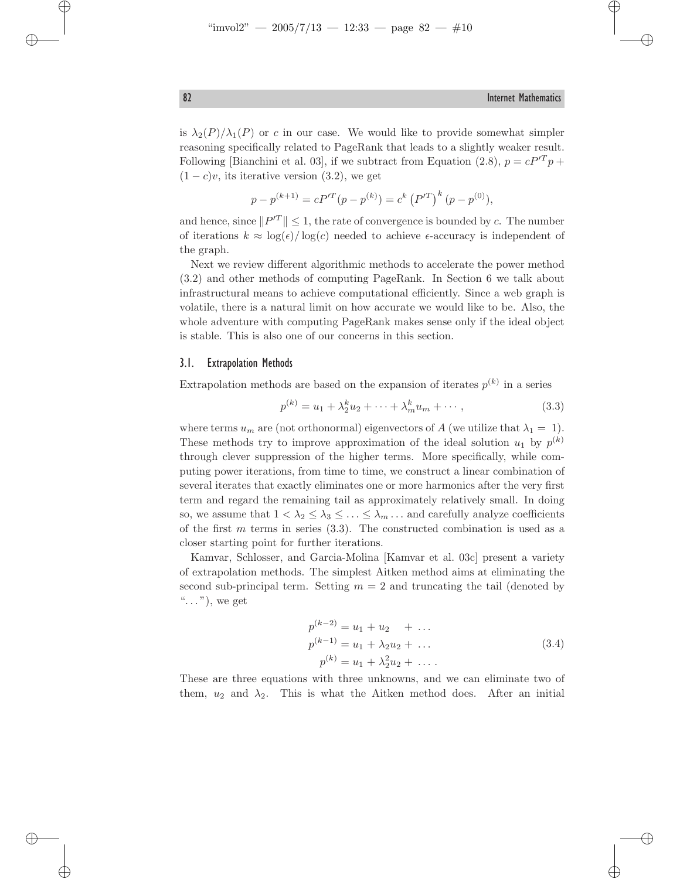✐

✐

✐

✐

is  $\lambda_2(P)/\lambda_1(P)$  or c in our case. We would like to provide somewhat simpler reasoning specifically related to PageRank that leads to a slightly weaker result. Following [Bianchini et al. 03], if we subtract from Equation (2.8),  $p = cP^{T}p +$  $(1 - c)v$ , its iterative version  $(3.2)$ , we get

$$
p - p^{(k+1)} = cP^{T}(p - p^{(k)}) = c^{k} (P^{T})^{k} (p - p^{(0)}),
$$

and hence, since  $||P^T|| \leq 1$ , the rate of convergence is bounded by c. The number of iterations  $k \approx \log(\epsilon)/\log(c)$  needed to achieve  $\epsilon$ -accuracy is independent of the graph.

Next we review different algorithmic methods to accelerate the power method (3.2) and other methods of computing PageRank. In Section 6 we talk about infrastructural means to achieve computational efficiently. Since a web graph is volatile, there is a natural limit on how accurate we would like to be. Also, the whole adventure with computing PageRank makes sense only if the ideal object is stable. This is also one of our concerns in this section.

### 3.1. Extrapolation Methods

Extrapolation methods are based on the expansion of iterates  $p^{(k)}$  in a series

$$
p^{(k)} = u_1 + \lambda_2^k u_2 + \dots + \lambda_m^k u_m + \dots, \qquad (3.3)
$$

where terms  $u_m$  are (not orthonormal) eigenvectors of A (we utilize that  $\lambda_1 = 1$ ). These methods try to improve approximation of the ideal solution  $u_1$  by  $p^{(k)}$ through clever suppression of the higher terms. More specifically, while computing power iterations, from time to time, we construct a linear combination of several iterates that exactly eliminates one or more harmonics after the very first term and regard the remaining tail as approximately relatively small. In doing so, we assume that  $1 < \lambda_2 \leq \lambda_3 \leq \ldots \leq \lambda_m \ldots$  and carefully analyze coefficients of the first  $m$  terms in series  $(3.3)$ . The constructed combination is used as a closer starting point for further iterations.

Kamvar, Schlosser, and Garcia-Molina [Kamvar et al. 03c] present a variety of extrapolation methods. The simplest Aitken method aims at eliminating the second sub-principal term. Setting  $m = 2$  and truncating the tail (denoted by " $\dots$ "), we get

$$
p^{(k-2)} = u_1 + u_2 + \dots
$$
  
\n
$$
p^{(k-1)} = u_1 + \lambda_2 u_2 + \dots
$$
  
\n
$$
p^{(k)} = u_1 + \lambda_2^2 u_2 + \dots
$$
\n(3.4)

These are three equations with three unknowns, and we can eliminate two of them,  $u_2$  and  $\lambda_2$ . This is what the Aitken method does. After an initial

✐

✐

✐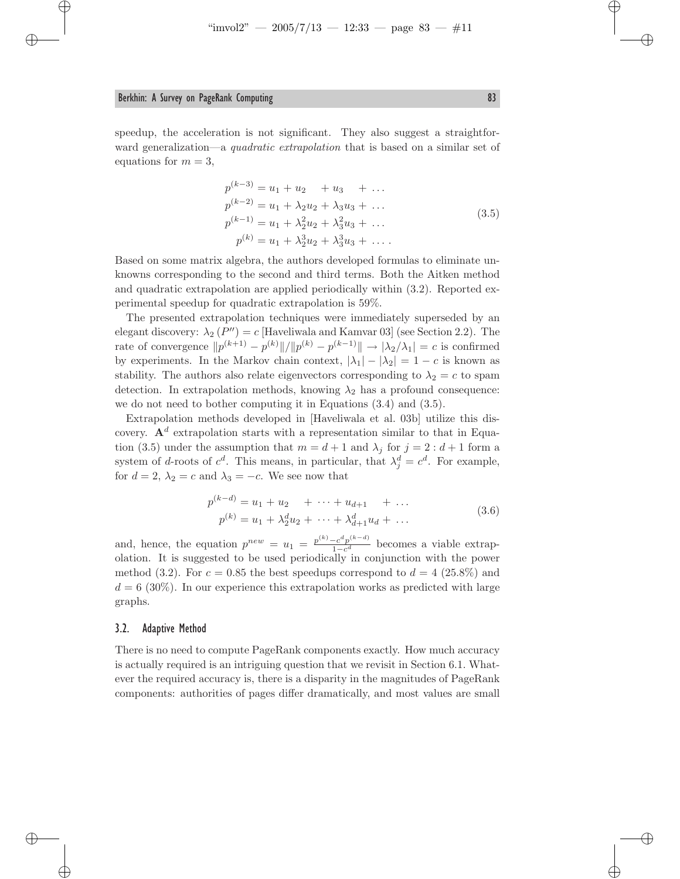✐

✐

✐

✐

speedup, the acceleration is not significant. They also suggest a straightforward generalization—a *quadratic extrapolation* that is based on a similar set of equations for  $m = 3$ ,

$$
p^{(k-3)} = u_1 + u_2 + u_3 + \dots
$$
  
\n
$$
p^{(k-2)} = u_1 + \lambda_2 u_2 + \lambda_3 u_3 + \dots
$$
  
\n
$$
p^{(k-1)} = u_1 + \lambda_2^2 u_2 + \lambda_3^2 u_3 + \dots
$$
  
\n
$$
p^{(k)} = u_1 + \lambda_2^3 u_2 + \lambda_3^3 u_3 + \dots
$$
\n(3.5)

Based on some matrix algebra, the authors developed formulas to eliminate unknowns corresponding to the second and third terms. Both the Aitken method and quadratic extrapolation are applied periodically within (3.2). Reported experimental speedup for quadratic extrapolation is 59%.

The presented extrapolation techniques were immediately superseded by an elegant discovery:  $\lambda_2(P'') = c$  [Haveliwala and Kamvar 03] (see Section 2.2). The rate of convergence  $||p^{(k+1)} - p^{(k)}||/||p^{(k)} - p^{(k-1)}|| \to |\lambda_2/\lambda_1| = c$  is confirmed by experiments. In the Markov chain context,  $|\lambda_1| - |\lambda_2| = 1 - c$  is known as stability. The authors also relate eigenvectors corresponding to  $\lambda_2 = c$  to spam detection. In extrapolation methods, knowing  $\lambda_2$  has a profound consequence: we do not need to bother computing it in Equations (3.4) and (3.5).

Extrapolation methods developed in [Haveliwala et al. 03b] utilize this discovery.  $A^d$  extrapolation starts with a representation similar to that in Equation (3.5) under the assumption that  $m = d + 1$  and  $\lambda_i$  for  $j = 2:d + 1$  form a system of d-roots of  $c^d$ . This means, in particular, that  $\lambda_i^d = c^d$ . For example, for  $d = 2$ ,  $\lambda_2 = c$  and  $\lambda_3 = -c$ . We see now that

$$
p^{(k-d)} = u_1 + u_2 + \dots + u_{d+1} + \dots
$$
  
\n
$$
p^{(k)} = u_1 + \lambda_2^d u_2 + \dots + \lambda_{d+1}^d u_d + \dots
$$
\n(3.6)

and, hence, the equation  $p^{new} = u_1 = \frac{p^{(k)} - c^d p^{(k-d)}}{1 - c^d}$  becomes a viable extrapolation. It is suggested to be used periodically in conjunction with the power method (3.2). For  $c = 0.85$  the best speedups correspond to  $d = 4$  (25.8%) and  $d = 6$  (30%). In our experience this extrapolation works as predicted with large graphs.

### 3.2. Adaptive Method

There is no need to compute PageRank components exactly. How much accuracy is actually required is an intriguing question that we revisit in Section 6.1. Whatever the required accuracy is, there is a disparity in the magnitudes of PageRank components: authorities of pages differ dramatically, and most values are small

✐

✐

✐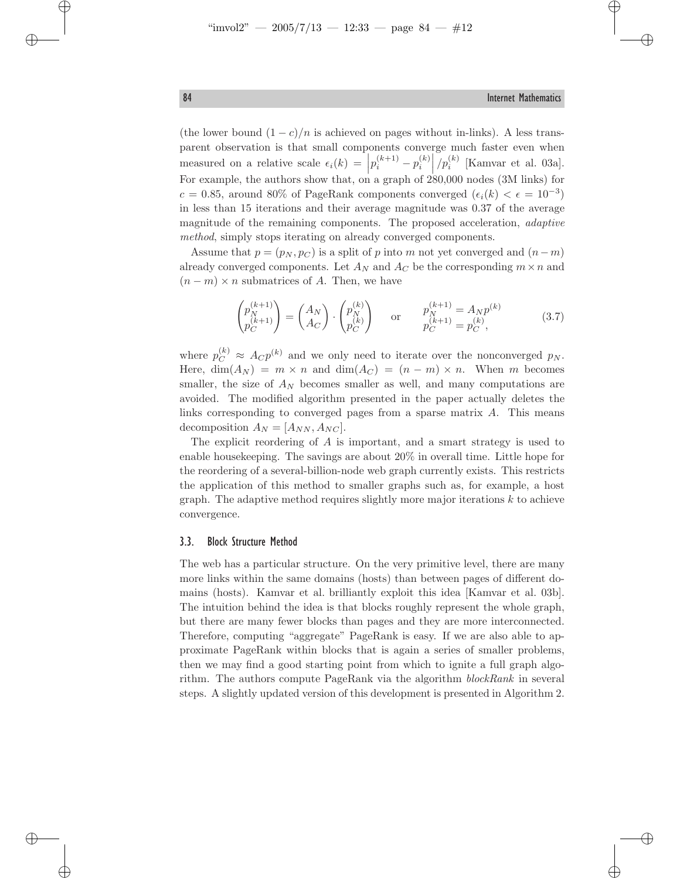✐

✐

✐

✐

(the lower bound  $(1 - c)/n$  is achieved on pages without in-links). A less transparent observation is that small components converge much faster even when measured on a relative scale  $\epsilon_i(k) = \left| p_i^{(k+1)} - p_i^{(k)} \right| / p_i^{(k)}$  [Kamvar et al. 03a]. For example, the authors show that, on a graph of 280,000 nodes (3M links) for c = 0.85, around 80% of PageRank components converged  $(\epsilon_i(k) < \epsilon = 10^{-3})$ in less than 15 iterations and their average magnitude was 0.37 of the average magnitude of the remaining components. The proposed acceleration, *adaptive method*, simply stops iterating on already converged components.

Assume that  $p = (p_N, p_C)$  is a split of p into m not yet converged and  $(n-m)$ already converged components. Let  $A_N$  and  $A_C$  be the corresponding  $m \times n$  and  $(n-m) \times n$  submatrices of A. Then, we have

$$
\begin{pmatrix} p_N^{(k+1)} \\ p_N^{(k+1)} \\ p_C^{(k+1)} \end{pmatrix} = \begin{pmatrix} A_N \\ A_C \end{pmatrix} \cdot \begin{pmatrix} p_N^{(k)} \\ p_N^{(k)} \\ p_C^{(k)} \end{pmatrix} \quad \text{or} \quad \begin{pmatrix} p_N^{(k+1)} = A_N p^{(k)} \\ p_C^{(k+1)} = p_C^{(k)}, \end{pmatrix} \tag{3.7}
$$

where  $p_C^{(k)} \approx A_C p^{(k)}$  and we only need to iterate over the nonconverged  $p_N$ . Here, dim( $A_N$ ) =  $m \times n$  and dim( $A_C$ ) =  $(n - m) \times n$ . When m becomes smaller, the size of  $A_N$  becomes smaller as well, and many computations are avoided. The modified algorithm presented in the paper actually deletes the links corresponding to converged pages from a sparse matrix  $A$ . This means decomposition  $A_N = [A_{NN}, A_{NC}]$ .

The explicit reordering of A is important, and a smart strategy is used to enable housekeeping. The savings are about 20% in overall time. Little hope for the reordering of a several-billion-node web graph currently exists. This restricts the application of this method to smaller graphs such as, for example, a host graph. The adaptive method requires slightly more major iterations  $k$  to achieve convergence.

### 3.3. Block Structure Method

The web has a particular structure. On the very primitive level, there are many more links within the same domains (hosts) than between pages of different domains (hosts). Kamvar et al. brilliantly exploit this idea [Kamvar et al. 03b]. The intuition behind the idea is that blocks roughly represent the whole graph, but there are many fewer blocks than pages and they are more interconnected. Therefore, computing "aggregate" PageRank is easy. If we are also able to approximate PageRank within blocks that is again a series of smaller problems, then we may find a good starting point from which to ignite a full graph algorithm. The authors compute PageRank via the algorithm *blockRank* in several steps. A slightly updated version of this development is presented in Algorithm 2.

✐

✐

✐

 $\oplus$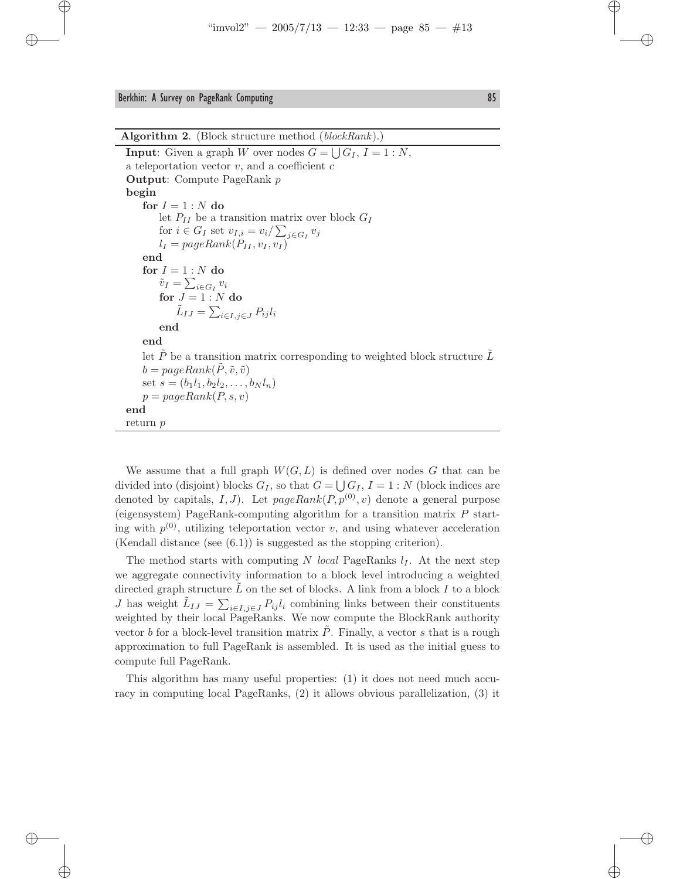✐

✐

✐

 $\oplus$ 

**Algorithm 2**. (Block structure method (*blockRank*).) **Input**: Given a graph W over nodes  $G = \bigcup G_I, I = 1:N$ , a teleportation vector  $v$ , and a coefficient  $c$ **Output**: Compute PageRank p **begin** for  $I = 1:N$  do let  $P_{II}$  be a transition matrix over block  $G_I$ for  $i \in G_I$  set  $v_{I,i} = v_i / \sum_{j \in G_I} v_j$  $l_I = pageRank(P_{II}, v_I, v_I)$ **end** for  $I = 1 : N$  do  $\tilde{v}_I = \sum_{i \in G_I} v_i$ for  $J = 1:N$  do  $\tilde{L}_{IJ} = \sum_{i \in I, j \in J} P_{ij} l_i$ **end end** let  $\tilde{P}$  be a transition matrix corresponding to weighted block structure  $\tilde{L}$  $b = pageRank(\tilde{P}, \tilde{v}, \tilde{v})$ set  $s = (b_1 l_1, b_2 l_2, \ldots, b_N l_n)$  $p = pageRank(P, s, v)$ **end** return p

We assume that a full graph  $W(G, L)$  is defined over nodes G that can be divided into (disjoint) blocks  $G_I$ , so that  $G = \bigcup G_I$ ,  $I = 1:N$  (block indices are denoted by capitals, I, J). Let  $pageRank(P, p^{(0)}, v)$  denote a general purpose (eigensystem) PageRank-computing algorithm for a transition matrix  $P$  starting with  $p^{(0)}$ , utilizing teleportation vector v, and using whatever acceleration (Kendall distance (see (6.1)) is suggested as the stopping criterion).

The method starts with computing N *local* PageRanks  $l_I$ . At the next step we aggregate connectivity information to a block level introducing a weighted directed graph structure  $\tilde{L}$  on the set of blocks. A link from a block I to a block J has weight  $\tilde{L}_{IJ} = \sum_{i \in I, j \in J} P_{ij} l_i$  combining links between their constituents weighted by their local PageRanks. We now compute the BlockRank authority vector b for a block-level transition matrix  $\ddot{P}$ . Finally, a vector s that is a rough approximation to full PageRank is assembled. It is used as the initial guess to compute full PageRank.

This algorithm has many useful properties: (1) it does not need much accuracy in computing local PageRanks, (2) it allows obvious parallelization, (3) it

✐

✐

✐

 $\oplus$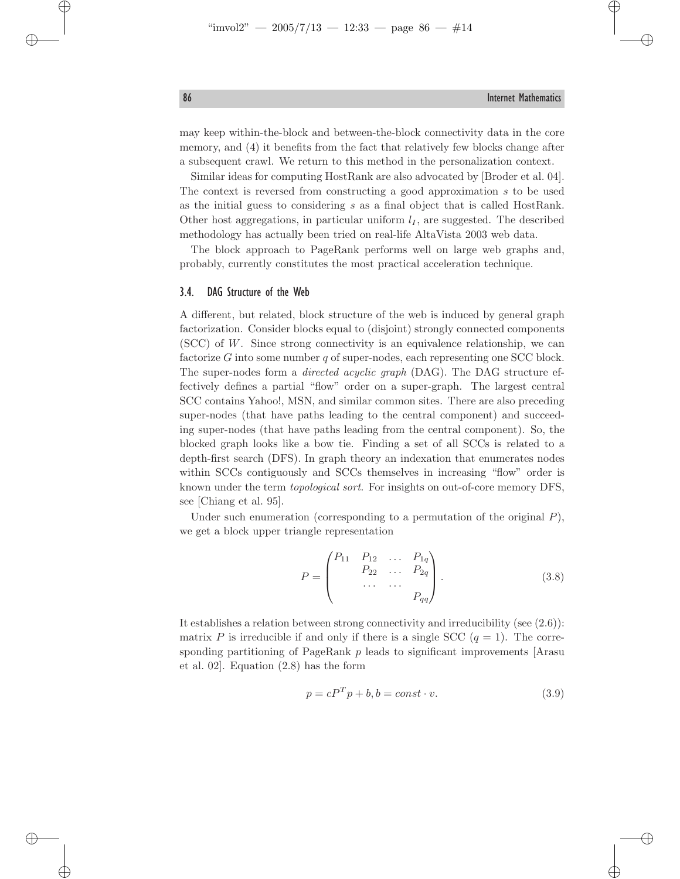✐

✐

✐

✐

may keep within-the-block and between-the-block connectivity data in the core memory, and (4) it benefits from the fact that relatively few blocks change after a subsequent crawl. We return to this method in the personalization context.

Similar ideas for computing HostRank are also advocated by [Broder et al. 04]. The context is reversed from constructing a good approximation s to be used as the initial guess to considering s as a final object that is called HostRank. Other host aggregations, in particular uniform  $l_I$ , are suggested. The described methodology has actually been tried on real-life AltaVista 2003 web data.

The block approach to PageRank performs well on large web graphs and, probably, currently constitutes the most practical acceleration technique.

# 3.4. DAG Structure of the Web

A different, but related, block structure of the web is induced by general graph factorization. Consider blocks equal to (disjoint) strongly connected components (SCC) of W. Since strong connectivity is an equivalence relationship, we can factorize  $G$  into some number  $q$  of super-nodes, each representing one SCC block. The super-nodes form a *directed acyclic graph* (DAG). The DAG structure effectively defines a partial "flow" order on a super-graph. The largest central SCC contains Yahoo!, MSN, and similar common sites. There are also preceding super-nodes (that have paths leading to the central component) and succeeding super-nodes (that have paths leading from the central component). So, the blocked graph looks like a bow tie. Finding a set of all SCCs is related to a depth-first search (DFS). In graph theory an indexation that enumerates nodes within SCCs contiguously and SCCs themselves in increasing "flow" order is known under the term *topological sort*. For insights on out-of-core memory DFS, see [Chiang et al. 95].

Under such enumeration (corresponding to a permutation of the original  $P$ ), we get a block upper triangle representation

$$
P = \begin{pmatrix} P_{11} & P_{12} & \dots & P_{1q} \\ P_{22} & \dots & P_{2q} \\ \dots & \dots & \dots \\ P_{qq} \end{pmatrix} . \tag{3.8}
$$

It establishes a relation between strong connectivity and irreducibility (see (2.6)): matrix P is irreducible if and only if there is a single SCC  $(q = 1)$ . The corresponding partitioning of PageRank  $p$  leads to significant improvements [Arasu et al. 02]. Equation (2.8) has the form

$$
p = cP^T p + b, b = const \cdot v.
$$
\n(3.9)

✐

✐

✐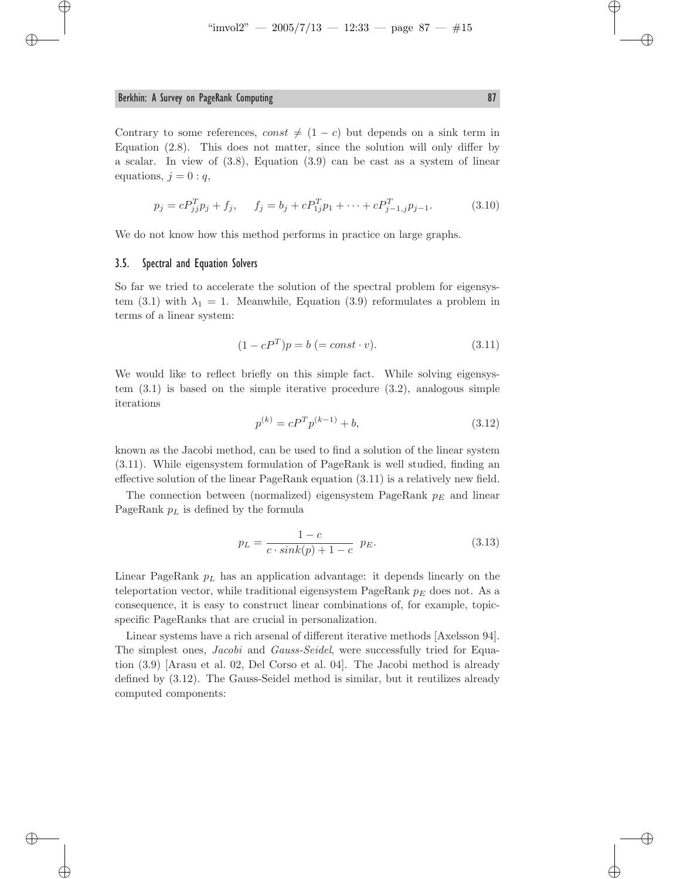✐

✐

✐

✐

Contrary to some references, const  $\neq (1 - c)$  but depends on a sink term in Equation (2.8). This does not matter, since the solution will only differ by a scalar. In view of (3.8), Equation (3.9) can be cast as a system of linear equations,  $j = 0: q$ ,

$$
p_j = cP_{jj}^T p_j + f_j, \qquad f_j = b_j + cP_{1j}^T p_1 + \dots + cP_{j-1,j}^T p_{j-1}.
$$
 (3.10)

We do not know how this method performs in practice on large graphs.

# 3.5. Spectral and Equation Solvers

So far we tried to accelerate the solution of the spectral problem for eigensystem (3.1) with  $\lambda_1 = 1$ . Meanwhile, Equation (3.9) reformulates a problem in terms of a linear system:

$$
(1 - cPT)p = b (= const \cdot v).
$$
\n(3.11)

We would like to reflect briefly on this simple fact. While solving eigensystem (3.1) is based on the simple iterative procedure (3.2), analogous simple iterations

$$
p^{(k)} = cP^{T}p^{(k-1)} + b,
$$
\n(3.12)

known as the Jacobi method, can be used to find a solution of the linear system (3.11). While eigensystem formulation of PageRank is well studied, finding an effective solution of the linear PageRank equation (3.11) is a relatively new field.

The connection between (normalized) eigensystem PageRank  $p_E$  and linear PageRank  $p<sub>L</sub>$  is defined by the formula

$$
p_L = \frac{1 - c}{c \cdot sink(p) + 1 - c} \ \ p_E.
$$
 (3.13)

Linear PageRank  $p<sub>L</sub>$  has an application advantage: it depends linearly on the teleportation vector, while traditional eigensystem PageRank  $p_E$  does not. As a consequence, it is easy to construct linear combinations of, for example, topicspecific PageRanks that are crucial in personalization.

Linear systems have a rich arsenal of different iterative methods [Axelsson 94]. The simplest ones, *Jacobi* and *Gauss-Seidel*, were successfully tried for Equation (3.9) [Arasu et al. 02, Del Corso et al. 04]. The Jacobi method is already defined by (3.12). The Gauss-Seidel method is similar, but it reutilizes already computed components:

✐

✐

✐

 $\oplus$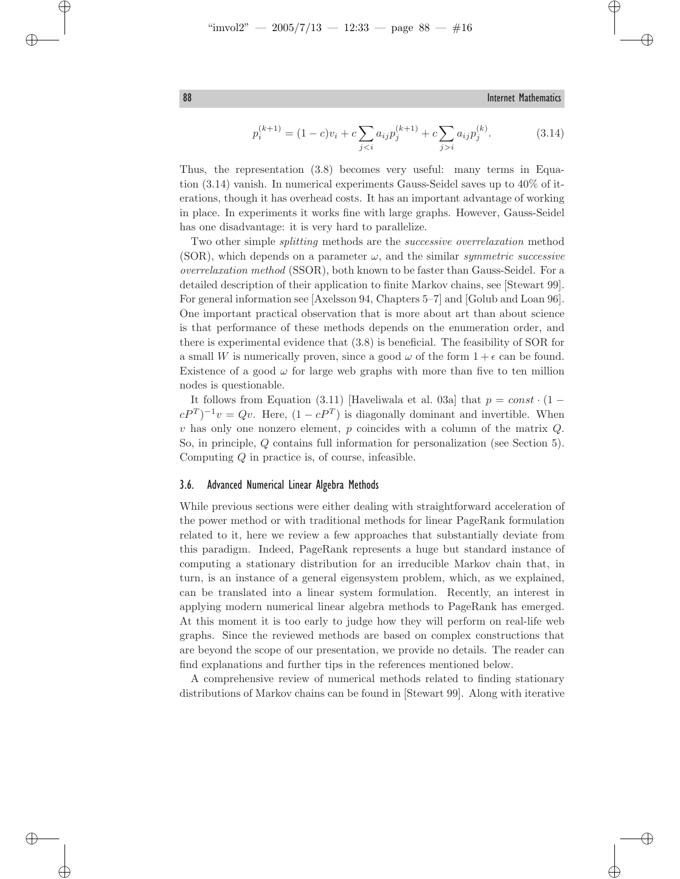✐

✐

✐

✐

$$
p_i^{(k+1)} = (1-c)v_i + c \sum_{j < i} a_{ij} p_j^{(k+1)} + c \sum_{j > i} a_{ij} p_j^{(k)}.\tag{3.14}
$$

Thus, the representation (3.8) becomes very useful: many terms in Equation (3.14) vanish. In numerical experiments Gauss-Seidel saves up to 40% of iterations, though it has overhead costs. It has an important advantage of working in place. In experiments it works fine with large graphs. However, Gauss-Seidel has one disadvantage: it is very hard to parallelize.

Two other simple *splitting* methods are the *successive overrelaxation* method (SOR), which depends on a parameter  $\omega$ , and the similar *symmetric successive overrelaxation method* (SSOR), both known to be faster than Gauss-Seidel. For a detailed description of their application to finite Markov chains, see [Stewart 99]. For general information see [Axelsson 94, Chapters 5–7] and [Golub and Loan 96]. One important practical observation that is more about art than about science is that performance of these methods depends on the enumeration order, and there is experimental evidence that (3.8) is beneficial. The feasibility of SOR for a small W is numerically proven, since a good  $\omega$  of the form  $1 + \epsilon$  can be found. Existence of a good  $\omega$  for large web graphs with more than five to ten million nodes is questionable.

It follows from Equation (3.11) [Haveliwala et al. 03a] that  $p = const \cdot (1$  $cP^{T}$ )<sup>-1</sup>v = Qv. Here,  $(1 - cP^{T})$  is diagonally dominant and invertible. When  $v$  has only one nonzero element,  $p$  coincides with a column of the matrix  $Q$ . So, in principle, Q contains full information for personalization (see Section 5). Computing Q in practice is, of course, infeasible.

### 3.6. Advanced Numerical Linear Algebra Methods

While previous sections were either dealing with straightforward acceleration of the power method or with traditional methods for linear PageRank formulation related to it, here we review a few approaches that substantially deviate from this paradigm. Indeed, PageRank represents a huge but standard instance of computing a stationary distribution for an irreducible Markov chain that, in turn, is an instance of a general eigensystem problem, which, as we explained, can be translated into a linear system formulation. Recently, an interest in applying modern numerical linear algebra methods to PageRank has emerged. At this moment it is too early to judge how they will perform on real-life web graphs. Since the reviewed methods are based on complex constructions that are beyond the scope of our presentation, we provide no details. The reader can find explanations and further tips in the references mentioned below.

A comprehensive review of numerical methods related to finding stationary distributions of Markov chains can be found in [Stewart 99]. Along with iterative

✐

✐

✐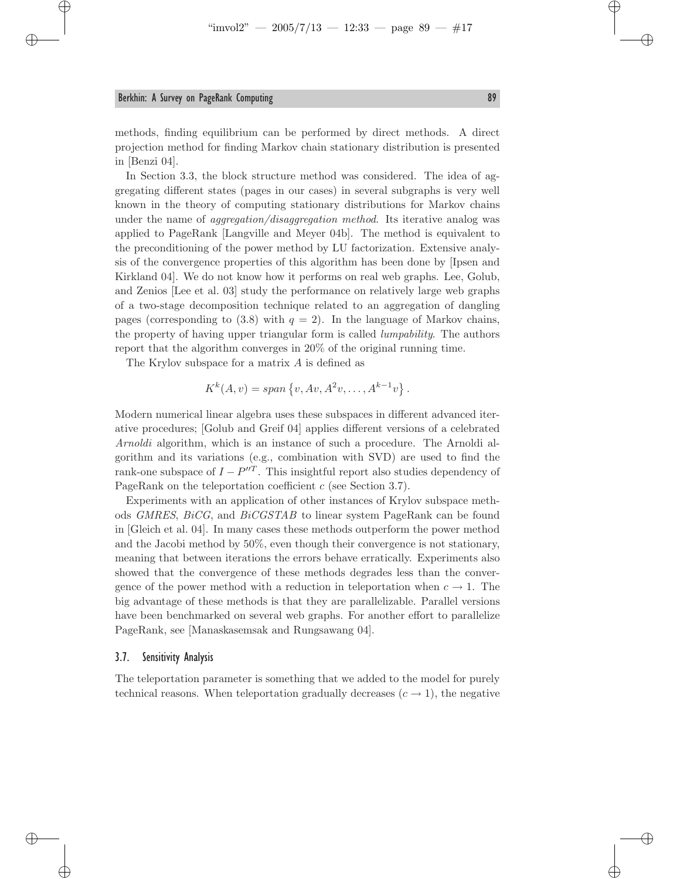✐

✐

✐

✐

methods, finding equilibrium can be performed by direct methods. A direct projection method for finding Markov chain stationary distribution is presented in [Benzi 04].

In Section 3.3, the block structure method was considered. The idea of aggregating different states (pages in our cases) in several subgraphs is very well known in the theory of computing stationary distributions for Markov chains under the name of *aggregation/disaggregation method*. Its iterative analog was applied to PageRank [Langville and Meyer 04b]. The method is equivalent to the preconditioning of the power method by LU factorization. Extensive analysis of the convergence properties of this algorithm has been done by [Ipsen and Kirkland 04]. We do not know how it performs on real web graphs. Lee, Golub, and Zenios [Lee et al. 03] study the performance on relatively large web graphs of a two-stage decomposition technique related to an aggregation of dangling pages (corresponding to  $(3.8)$  with  $q = 2$ ). In the language of Markov chains, the property of having upper triangular form is called *lumpability*. The authors report that the algorithm converges in 20% of the original running time.

The Krylov subspace for a matrix A is defined as

$$
K^{k}(A, v) = span \{v, Av, A^{2}v, ..., A^{k-1}v\}.
$$

Modern numerical linear algebra uses these subspaces in different advanced iterative procedures; [Golub and Greif 04] applies different versions of a celebrated *Arnoldi* algorithm, which is an instance of such a procedure. The Arnoldi algorithm and its variations (e.g., combination with SVD) are used to find the rank-one subspace of  $I - P''^T$ . This insightful report also studies dependency of PageRank on the teleportation coefficient  $c$  (see Section 3.7).

Experiments with an application of other instances of Krylov subspace methods *GMRES*, *BiCG*, and *BiCGSTAB* to linear system PageRank can be found in [Gleich et al. 04]. In many cases these methods outperform the power method and the Jacobi method by 50%, even though their convergence is not stationary, meaning that between iterations the errors behave erratically. Experiments also showed that the convergence of these methods degrades less than the convergence of the power method with a reduction in teleportation when  $c \to 1$ . The big advantage of these methods is that they are parallelizable. Parallel versions have been benchmarked on several web graphs. For another effort to parallelize PageRank, see [Manaskasemsak and Rungsawang 04].

# 3.7. Sensitivity Analysis

The teleportation parameter is something that we added to the model for purely technical reasons. When teleportation gradually decreases  $(c \rightarrow 1)$ , the negative

✐

✐

✐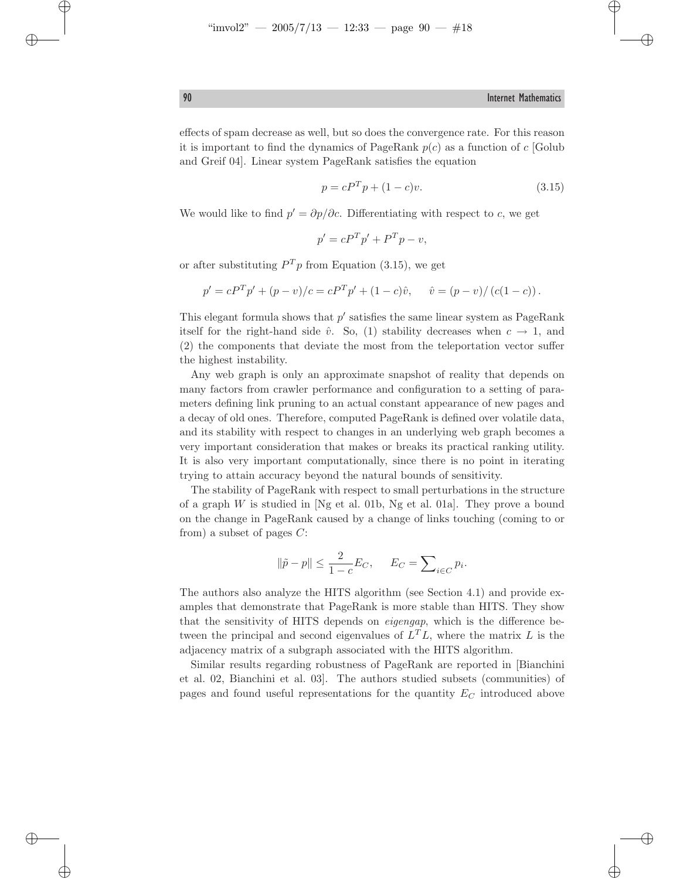✐

✐

✐

✐

effects of spam decrease as well, but so does the convergence rate. For this reason it is important to find the dynamics of PageRank  $p(c)$  as a function of c [Golub and Greif 04]. Linear system PageRank satisfies the equation

$$
p = cP^{T}p + (1 - c)v.
$$
 (3.15)

We would like to find  $p' = \partial p / \partial c$ . Differentiating with respect to c, we get

$$
p' = cP^T p' + P^T p - v,
$$

or after substituting  $P^T p$  from Equation (3.15), we get

$$
p' = cP^{T}p' + (p - v)/c = cP^{T}p' + (1 - c)\hat{v}, \quad \hat{v} = (p - v)/(c(1 - c)).
$$

This elegant formula shows that  $p'$  satisfies the same linear system as PageRank itself for the right-hand side  $\hat{v}$ . So, (1) stability decreases when  $c \to 1$ , and (2) the components that deviate the most from the teleportation vector suffer the highest instability.

Any web graph is only an approximate snapshot of reality that depends on many factors from crawler performance and configuration to a setting of parameters defining link pruning to an actual constant appearance of new pages and a decay of old ones. Therefore, computed PageRank is defined over volatile data, and its stability with respect to changes in an underlying web graph becomes a very important consideration that makes or breaks its practical ranking utility. It is also very important computationally, since there is no point in iterating trying to attain accuracy beyond the natural bounds of sensitivity.

The stability of PageRank with respect to small perturbations in the structure of a graph  $W$  is studied in [Ng et al. 01b, Ng et al. 01a]. They prove a bound on the change in PageRank caused by a change of links touching (coming to or from) a subset of pages  $C$ :

$$
\|\tilde{p} - p\| \le \frac{2}{1 - c} E_C, \quad E_C = \sum_{i \in C} p_i.
$$

The authors also analyze the HITS algorithm (see Section 4.1) and provide examples that demonstrate that PageRank is more stable than HITS. They show that the sensitivity of HITS depends on *eigengap*, which is the difference between the principal and second eigenvalues of  $L<sup>T</sup>L$ , where the matrix L is the adjacency matrix of a subgraph associated with the HITS algorithm.

Similar results regarding robustness of PageRank are reported in [Bianchini et al. 02, Bianchini et al. 03]. The authors studied subsets (communities) of pages and found useful representations for the quantity  $E_C$  introduced above

✐

✐

✐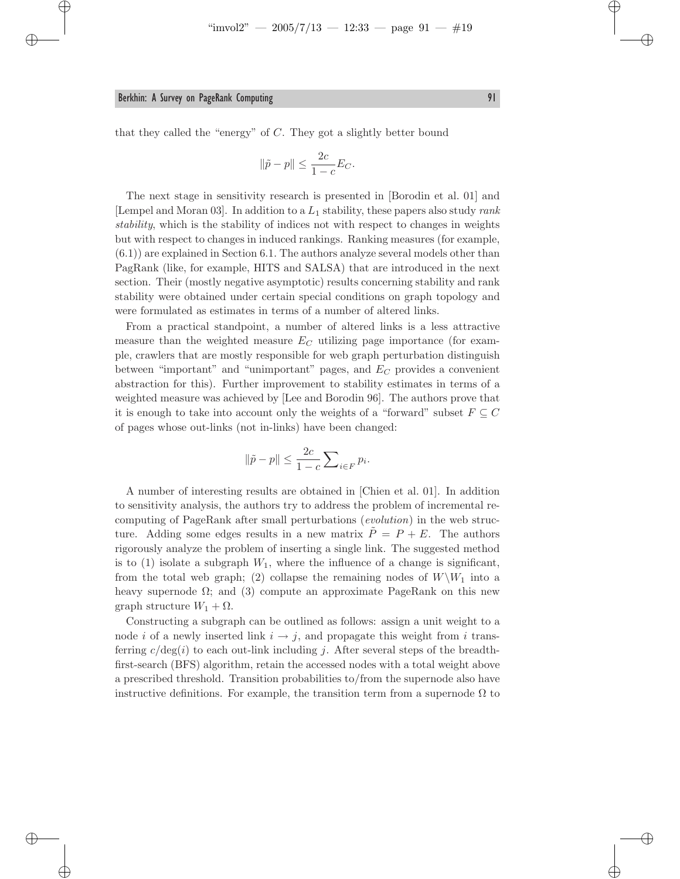✐

✐

✐

✐

that they called the "energy" of  $C$ . They got a slightly better bound

$$
\|\tilde{p} - p\| \le \frac{2c}{1 - c} E_C.
$$

The next stage in sensitivity research is presented in [Borodin et al. 01] and [Lempel and Moran 03]. In addition to a L<sup>1</sup> stability, these papers also study *rank stability*, which is the stability of indices not with respect to changes in weights but with respect to changes in induced rankings. Ranking measures (for example, (6.1)) are explained in Section 6.1. The authors analyze several models other than PagRank (like, for example, HITS and SALSA) that are introduced in the next section. Their (mostly negative asymptotic) results concerning stability and rank stability were obtained under certain special conditions on graph topology and were formulated as estimates in terms of a number of altered links.

From a practical standpoint, a number of altered links is a less attractive measure than the weighted measure  $E_C$  utilizing page importance (for example, crawlers that are mostly responsible for web graph perturbation distinguish between "important" and "unimportant" pages, and  $E_C$  provides a convenient abstraction for this). Further improvement to stability estimates in terms of a weighted measure was achieved by [Lee and Borodin 96]. The authors prove that it is enough to take into account only the weights of a "forward" subset  $F \subseteq C$ of pages whose out-links (not in-links) have been changed:

$$
\|\tilde{p} - p\| \le \frac{2c}{1 - c} \sum_{i \in F} p_i.
$$

A number of interesting results are obtained in [Chien et al. 01]. In addition to sensitivity analysis, the authors try to address the problem of incremental recomputing of PageRank after small perturbations (*evolution*) in the web structure. Adding some edges results in a new matrix  $P = P + E$ . The authors rigorously analyze the problem of inserting a single link. The suggested method is to  $(1)$  isolate a subgraph  $W_1$ , where the influence of a change is significant, from the total web graph; (2) collapse the remaining nodes of  $W\backslash W_1$  into a heavy supernode  $\Omega$ ; and (3) compute an approximate PageRank on this new graph structure  $W_1 + \Omega$ .

Constructing a subgraph can be outlined as follows: assign a unit weight to a node i of a newly inserted link  $i \rightarrow j$ , and propagate this weight from i transferring  $c/\text{deg}(i)$  to each out-link including j. After several steps of the breadthfirst-search (BFS) algorithm, retain the accessed nodes with a total weight above a prescribed threshold. Transition probabilities to/from the supernode also have instructive definitions. For example, the transition term from a supernode  $\Omega$  to

✐

✐

✐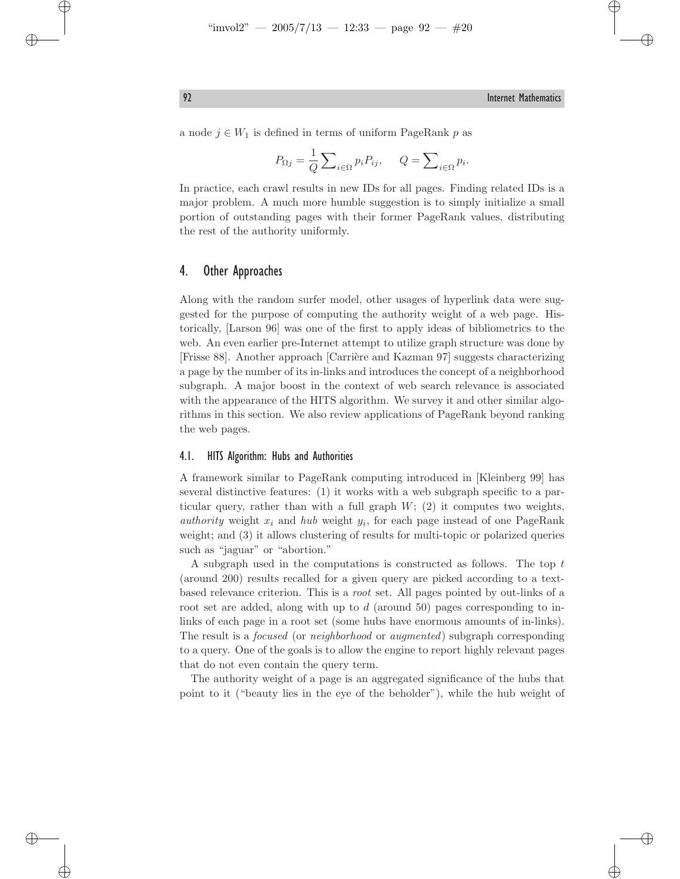✐

✐

✐

✐

✐

✐

✐

✐

a node  $j \in W_1$  is defined in terms of uniform PageRank p as

$$
P_{\Omega j} = \frac{1}{Q} \sum_{i \in \Omega} p_i P_{ij}, \quad Q = \sum_{i \in \Omega} p_i.
$$

In practice, each crawl results in new IDs for all pages. Finding related IDs is a major problem. A much more humble suggestion is to simply initialize a small portion of outstanding pages with their former PageRank values, distributing the rest of the authority uniformly.

# 4. Other Approaches

Along with the random surfer model, other usages of hyperlink data were suggested for the purpose of computing the authority weight of a web page. Historically, [Larson 96] was one of the first to apply ideas of bibliometrics to the web. An even earlier pre-Internet attempt to utilize graph structure was done by [Frisse 88]. Another approach [Carrière and Kazman 97] suggests characterizing a page by the number of its in-links and introduces the concept of a neighborhood subgraph. A major boost in the context of web search relevance is associated with the appearance of the HITS algorithm. We survey it and other similar algorithms in this section. We also review applications of PageRank beyond ranking the web pages.

# 4.1. HITS Algorithm: Hubs and Authorities

A framework similar to PageRank computing introduced in [Kleinberg 99] has several distinctive features: (1) it works with a web subgraph specific to a particular query, rather than with a full graph  $W$ ; (2) it computes two weights, *authority* weight  $x_i$  and *hub* weight  $y_i$ , for each page instead of one PageRank weight; and (3) it allows clustering of results for multi-topic or polarized queries such as "jaguar" or "abortion."

A subgraph used in the computations is constructed as follows. The top t (around 200) results recalled for a given query are picked according to a textbased relevance criterion. This is a *root* set. All pages pointed by out-links of a root set are added, along with up to  $d$  (around 50) pages corresponding to inlinks of each page in a root set (some hubs have enormous amounts of in-links). The result is a *focused* (or *neighborhood* or *augmented*) subgraph corresponding to a query. One of the goals is to allow the engine to report highly relevant pages that do not even contain the query term.

The authority weight of a page is an aggregated significance of the hubs that point to it ("beauty lies in the eye of the beholder"), while the hub weight of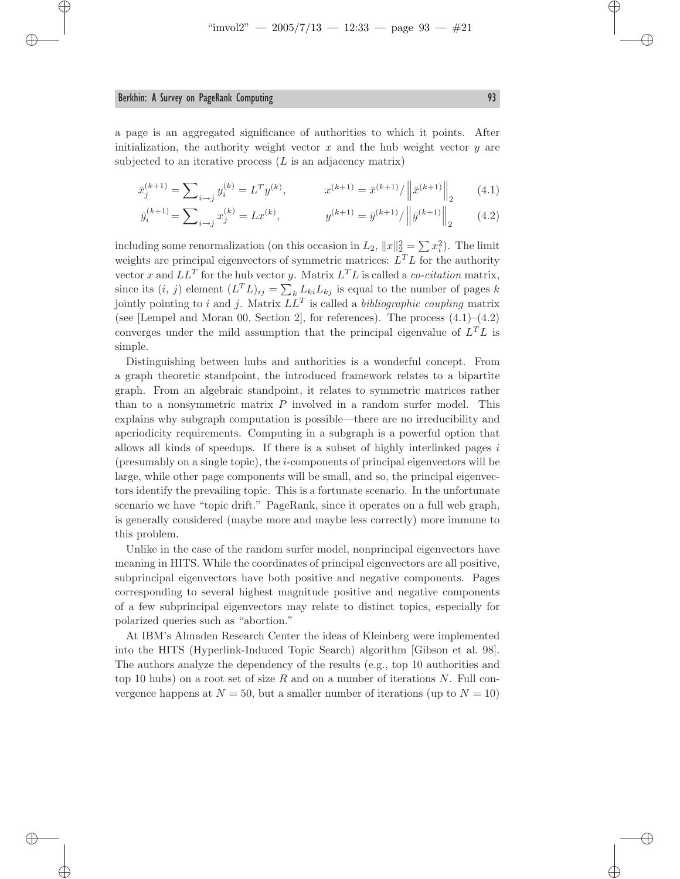✐

✐

✐

✐

a page is an aggregated significance of authorities to which it points. After initialization, the authority weight vector  $x$  and the hub weight vector  $y$  are subjected to an iterative process  $(L \text{ is an adjacency matrix})$ 

$$
\bar{x}_{j}^{(k+1)} = \sum_{i \to j} y_{i}^{(k)} = L^{T} y_{i}^{(k)}, \qquad x^{(k+1)} = \bar{x}^{(k+1)} / \left\| \bar{x}^{(k+1)} \right\|_{2} \qquad (4.1)
$$

$$
\bar{y}_i^{(k+1)} = \sum_{i \to j} x_j^{(k)} = Lx^{(k)}, \qquad \qquad y^{(k+1)} = \bar{y}^{(k+1)} / \left\| \bar{y}^{(k+1)} \right\|_2 \tag{4.2}
$$

including some renormalization (on this occasion in  $L_2$ ,  $||x||_2^2 = \sum x_i^2$ ). The limit weights are principal eigenvectors of symmetric matrices:  $L<sup>T</sup>L$  for the authority vector x and  $LL^T$  for the hub vector y. Matrix  $L^TL$  is called a *co-citation* matrix, since its  $(i, j)$  element  $(L^T L)_{ij} = \sum_k L_{ki} L_{kj}$  is equal to the number of pages k jointly pointing to i and j. Matrix  $LL^T$  is called a *bibliographic coupling* matrix (see [Lempel and Moran 00, Section 2], for references). The process (4.1)–(4.2) converges under the mild assumption that the principal eigenvalue of  $L<sup>T</sup>L$  is simple.

Distinguishing between hubs and authorities is a wonderful concept. From a graph theoretic standpoint, the introduced framework relates to a bipartite graph. From an algebraic standpoint, it relates to symmetric matrices rather than to a nonsymmetric matrix  $P$  involved in a random surfer model. This explains why subgraph computation is possible—there are no irreducibility and aperiodicity requirements. Computing in a subgraph is a powerful option that allows all kinds of speedups. If there is a subset of highly interlinked pages  $i$ (presumably on a single topic), the i-components of principal eigenvectors will be large, while other page components will be small, and so, the principal eigenvectors identify the prevailing topic. This is a fortunate scenario. In the unfortunate scenario we have "topic drift." PageRank, since it operates on a full web graph, is generally considered (maybe more and maybe less correctly) more immune to this problem.

Unlike in the case of the random surfer model, nonprincipal eigenvectors have meaning in HITS. While the coordinates of principal eigenvectors are all positive, subprincipal eigenvectors have both positive and negative components. Pages corresponding to several highest magnitude positive and negative components of a few subprincipal eigenvectors may relate to distinct topics, especially for polarized queries such as "abortion."

At IBM's Almaden Research Center the ideas of Kleinberg were implemented into the HITS (Hyperlink-Induced Topic Search) algorithm [Gibson et al. 98]. The authors analyze the dependency of the results (e.g., top 10 authorities and top 10 hubs) on a root set of size R and on a number of iterations N. Full convergence happens at  $N = 50$ , but a smaller number of iterations (up to  $N = 10$ )

✐

✐

✐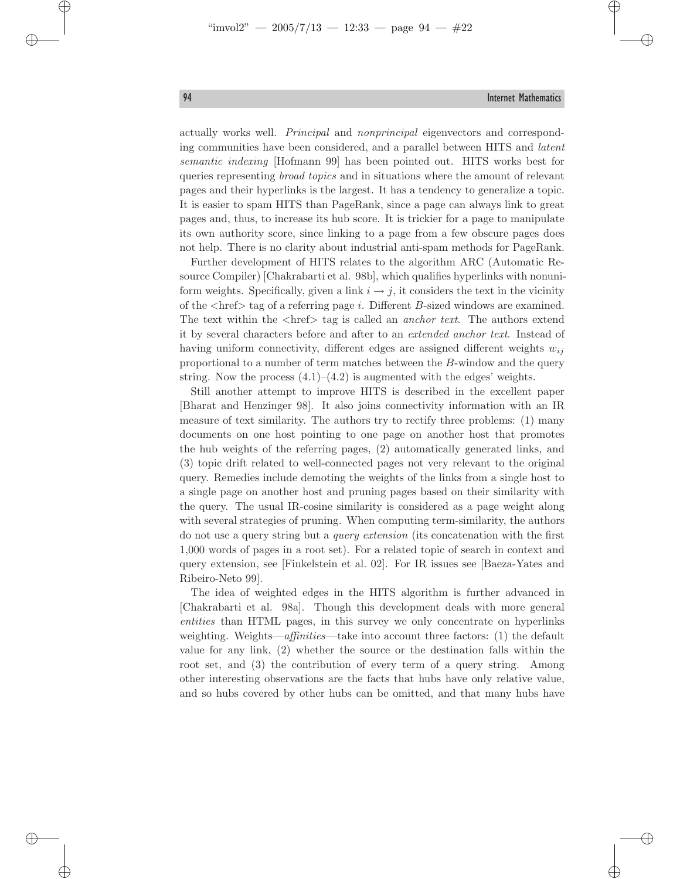$\oplus$ 

 $\oplus$ 

✐

✐

actually works well. *Principal* and *nonprincipal* eigenvectors and corresponding communities have been considered, and a parallel between HITS and *latent semantic indexing* [Hofmann 99] has been pointed out. HITS works best for queries representing *broad topics* and in situations where the amount of relevant pages and their hyperlinks is the largest. It has a tendency to generalize a topic. It is easier to spam HITS than PageRank, since a page can always link to great pages and, thus, to increase its hub score. It is trickier for a page to manipulate its own authority score, since linking to a page from a few obscure pages does not help. There is no clarity about industrial anti-spam methods for PageRank.

Further development of HITS relates to the algorithm ARC (Automatic Resource Compiler) [Chakrabarti et al. 98b], which qualifies hyperlinks with nonuniform weights. Specifically, given a link  $i \rightarrow j$ , it considers the text in the vicinity of the  $\langle$ href $\rangle$  tag of a referring page *i*. Different *B*-sized windows are examined. The text within the  $\langle \text{href} \rangle$  tag is called an *anchor text*. The authors extend it by several characters before and after to an *extended anchor text*. Instead of having uniform connectivity, different edges are assigned different weights  $w_{ij}$ proportional to a number of term matches between the B-window and the query string. Now the process  $(4.1)$ – $(4.2)$  is augmented with the edges' weights.

Still another attempt to improve HITS is described in the excellent paper [Bharat and Henzinger 98]. It also joins connectivity information with an IR measure of text similarity. The authors try to rectify three problems: (1) many documents on one host pointing to one page on another host that promotes the hub weights of the referring pages, (2) automatically generated links, and (3) topic drift related to well-connected pages not very relevant to the original query. Remedies include demoting the weights of the links from a single host to a single page on another host and pruning pages based on their similarity with the query. The usual IR-cosine similarity is considered as a page weight along with several strategies of pruning. When computing term-similarity, the authors do not use a query string but a *query extension* (its concatenation with the first 1,000 words of pages in a root set). For a related topic of search in context and query extension, see [Finkelstein et al. 02]. For IR issues see [Baeza-Yates and Ribeiro-Neto 99].

The idea of weighted edges in the HITS algorithm is further advanced in [Chakrabarti et al. 98a]. Though this development deals with more general *entities* than HTML pages, in this survey we only concentrate on hyperlinks weighting. Weights—*affinities*—take into account three factors: (1) the default value for any link, (2) whether the source or the destination falls within the root set, and (3) the contribution of every term of a query string. Among other interesting observations are the facts that hubs have only relative value, and so hubs covered by other hubs can be omitted, and that many hubs have

✐

✐

✐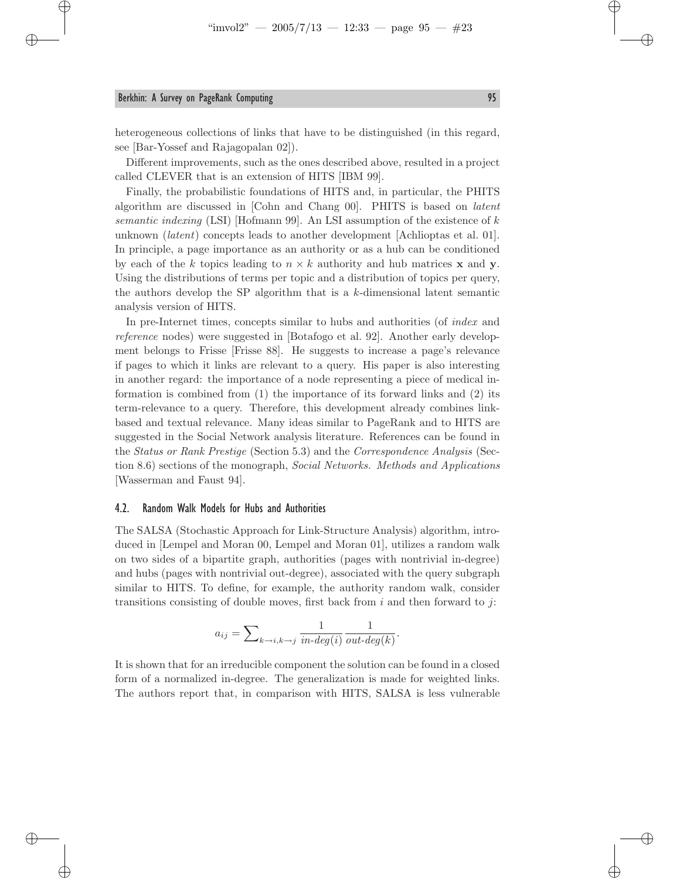✐

✐

✐

✐

heterogeneous collections of links that have to be distinguished (in this regard, see [Bar-Yossef and Rajagopalan 02]).

Different improvements, such as the ones described above, resulted in a project called CLEVER that is an extension of HITS [IBM 99].

Finally, the probabilistic foundations of HITS and, in particular, the PHITS algorithm are discussed in [Cohn and Chang 00]. PHITS is based on *latent semantic indexing* (LSI) [Hofmann 99]. An LSI assumption of the existence of k unknown (*latent*) concepts leads to another development [Achlioptas et al. 01]. In principle, a page importance as an authority or as a hub can be conditioned by each of the k topics leading to  $n \times k$  authority and hub matrices **x** and **y**. Using the distributions of terms per topic and a distribution of topics per query, the authors develop the SP algorithm that is a  $k$ -dimensional latent semantic analysis version of HITS.

In pre-Internet times, concepts similar to hubs and authorities (of *index* and *reference* nodes) were suggested in [Botafogo et al. 92]. Another early development belongs to Frisse [Frisse 88]. He suggests to increase a page's relevance if pages to which it links are relevant to a query. His paper is also interesting in another regard: the importance of a node representing a piece of medical information is combined from (1) the importance of its forward links and (2) its term-relevance to a query. Therefore, this development already combines linkbased and textual relevance. Many ideas similar to PageRank and to HITS are suggested in the Social Network analysis literature. References can be found in the *Status or Rank Prestige* (Section 5.3) and the *Correspondence Analysis* (Section 8.6) sections of the monograph, *Social Networks. Methods and Applications* [Wasserman and Faust 94].

### 4.2. Random Walk Models for Hubs and Authorities

The SALSA (Stochastic Approach for Link-Structure Analysis) algorithm, introduced in [Lempel and Moran 00, Lempel and Moran 01], utilizes a random walk on two sides of a bipartite graph, authorities (pages with nontrivial in-degree) and hubs (pages with nontrivial out-degree), associated with the query subgraph similar to HITS. To define, for example, the authority random walk, consider transitions consisting of double moves, first back from  $i$  and then forward to  $j$ :

$$
a_{ij} = \sum_{k \to i, k \to j} \frac{1}{in \text{deg}(i)} \frac{1}{out \text{deg}(k)}.
$$

It is shown that for an irreducible component the solution can be found in a closed form of a normalized in-degree. The generalization is made for weighted links. The authors report that, in comparison with HITS, SALSA is less vulnerable ✐

✐

✐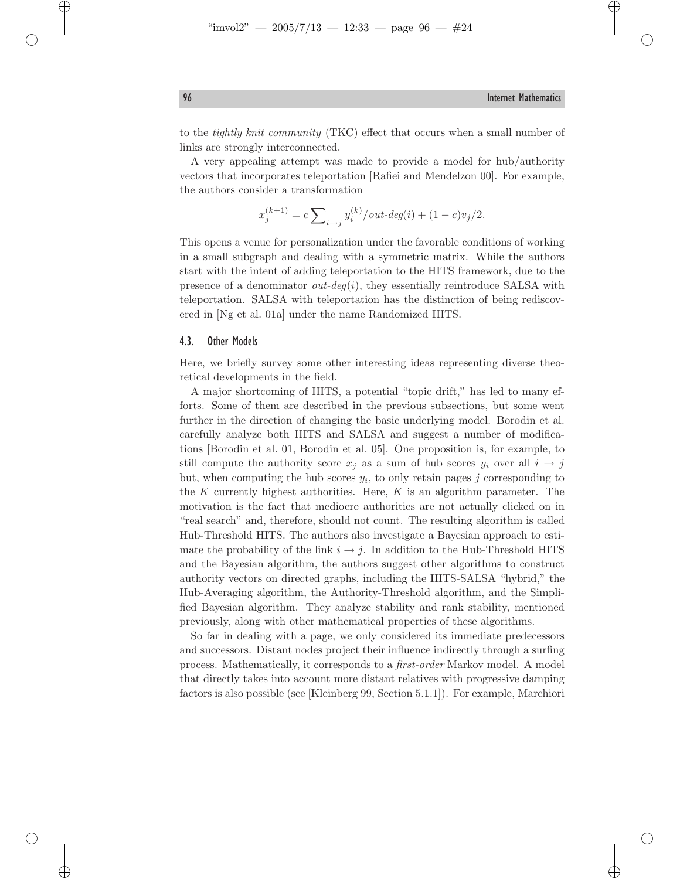✐

✐

✐

✐

to the *tightly knit community* (TKC) effect that occurs when a small number of links are strongly interconnected.

A very appealing attempt was made to provide a model for hub/authority vectors that incorporates teleportation [Rafiei and Mendelzon 00]. For example, the authors consider a transformation

$$
x_j^{(k+1)} = c \sum_{i \to j} y_i^{(k)}/out\text{-}deg(i) + (1-c)v_j/2.
$$

This opens a venue for personalization under the favorable conditions of working in a small subgraph and dealing with a symmetric matrix. While the authors start with the intent of adding teleportation to the HITS framework, due to the presence of a denominator *out-deg*(i), they essentially reintroduce SALSA with teleportation. SALSA with teleportation has the distinction of being rediscovered in [Ng et al. 01a] under the name Randomized HITS.

# 4.3. Other Models

Here, we briefly survey some other interesting ideas representing diverse theoretical developments in the field.

A major shortcoming of HITS, a potential "topic drift," has led to many efforts. Some of them are described in the previous subsections, but some went further in the direction of changing the basic underlying model. Borodin et al. carefully analyze both HITS and SALSA and suggest a number of modifications [Borodin et al. 01, Borodin et al. 05]. One proposition is, for example, to still compute the authority score  $x_j$  as a sum of hub scores  $y_i$  over all  $i \rightarrow j$ but, when computing the hub scores  $y_i$ , to only retain pages j corresponding to the K currently highest authorities. Here,  $K$  is an algorithm parameter. The motivation is the fact that mediocre authorities are not actually clicked on in "real search" and, therefore, should not count. The resulting algorithm is called Hub-Threshold HITS. The authors also investigate a Bayesian approach to estimate the probability of the link  $i \rightarrow j$ . In addition to the Hub-Threshold HITS and the Bayesian algorithm, the authors suggest other algorithms to construct authority vectors on directed graphs, including the HITS-SALSA "hybrid," the Hub-Averaging algorithm, the Authority-Threshold algorithm, and the Simplified Bayesian algorithm. They analyze stability and rank stability, mentioned previously, along with other mathematical properties of these algorithms.

So far in dealing with a page, we only considered its immediate predecessors and successors. Distant nodes project their influence indirectly through a surfing process. Mathematically, it corresponds to a *first-order* Markov model. A model that directly takes into account more distant relatives with progressive damping factors is also possible (see [Kleinberg 99, Section 5.1.1]). For example, Marchiori

# 96 **Internet Mathematics**

✐

✐

✐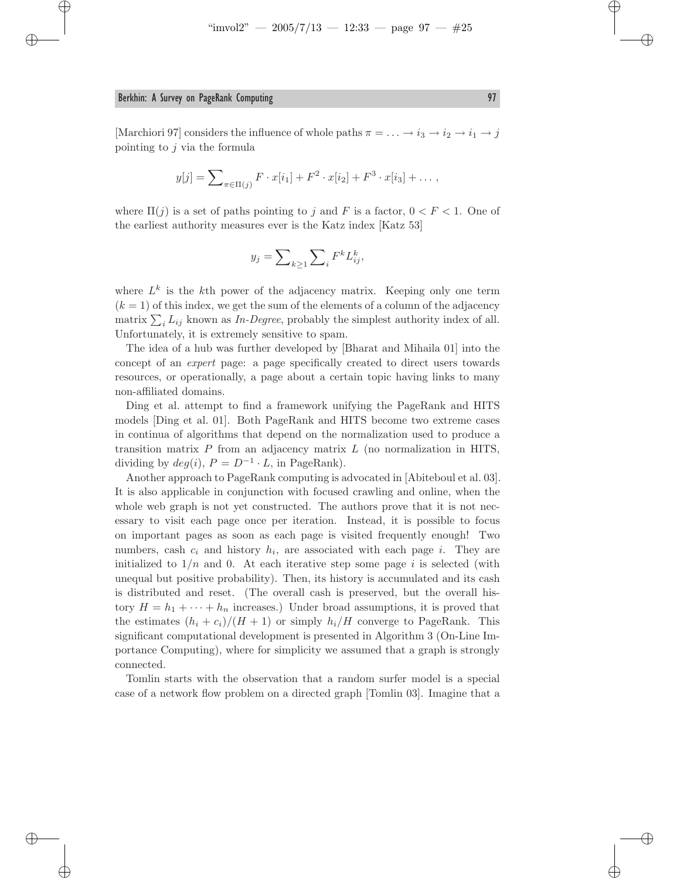✐

✐

✐

✐

[Marchiori 97] considers the influence of whole paths  $\pi = \ldots \rightarrow i_3 \rightarrow i_2 \rightarrow i_1 \rightarrow j$ pointing to  $j$  via the formula

$$
y[j] = \sum_{\pi \in \Pi(j)} F \cdot x[i_1] + F^2 \cdot x[i_2] + F^3 \cdot x[i_3] + \dots,
$$

where  $\Pi(i)$  is a set of paths pointing to j and F is a factor,  $0 < F < 1$ . One of the earliest authority measures ever is the Katz index [Katz 53]

$$
y_j = \sum_{k \ge 1} \sum_i F^k L_{ij}^k,
$$

where  $L^k$  is the kth power of the adjacency matrix. Keeping only one term  $(k = 1)$  of this index, we get the sum of the elements of a column of the adjacency matrix  $\sum_i L_{ij}$  known as *In-Degree*, probably the simplest authority index of all. Unfortunately, it is extremely sensitive to spam.

The idea of a hub was further developed by [Bharat and Mihaila 01] into the concept of an *expert* page: a page specifically created to direct users towards resources, or operationally, a page about a certain topic having links to many non-affiliated domains.

Ding et al. attempt to find a framework unifying the PageRank and HITS models [Ding et al. 01]. Both PageRank and HITS become two extreme cases in continua of algorithms that depend on the normalization used to produce a transition matrix  $P$  from an adjacency matrix  $L$  (no normalization in HITS, dividing by  $deg(i)$ ,  $P = D^{-1} \cdot L$ , in PageRank).

Another approach to PageRank computing is advocated in [Abiteboul et al. 03]. It is also applicable in conjunction with focused crawling and online, when the whole web graph is not yet constructed. The authors prove that it is not necessary to visit each page once per iteration. Instead, it is possible to focus on important pages as soon as each page is visited frequently enough! Two numbers, cash  $c_i$  and history  $h_i$ , are associated with each page i. They are initialized to  $1/n$  and 0. At each iterative step some page i is selected (with unequal but positive probability). Then, its history is accumulated and its cash is distributed and reset. (The overall cash is preserved, but the overall history  $H = h_1 + \cdots + h_n$  increases.) Under broad assumptions, it is proved that the estimates  $(h_i + c_i)/(H + 1)$  or simply  $h_i/H$  converge to PageRank. This significant computational development is presented in Algorithm 3 (On-Line Importance Computing), where for simplicity we assumed that a graph is strongly connected.

Tomlin starts with the observation that a random surfer model is a special case of a network flow problem on a directed graph [Tomlin 03]. Imagine that a

✐

✐

✐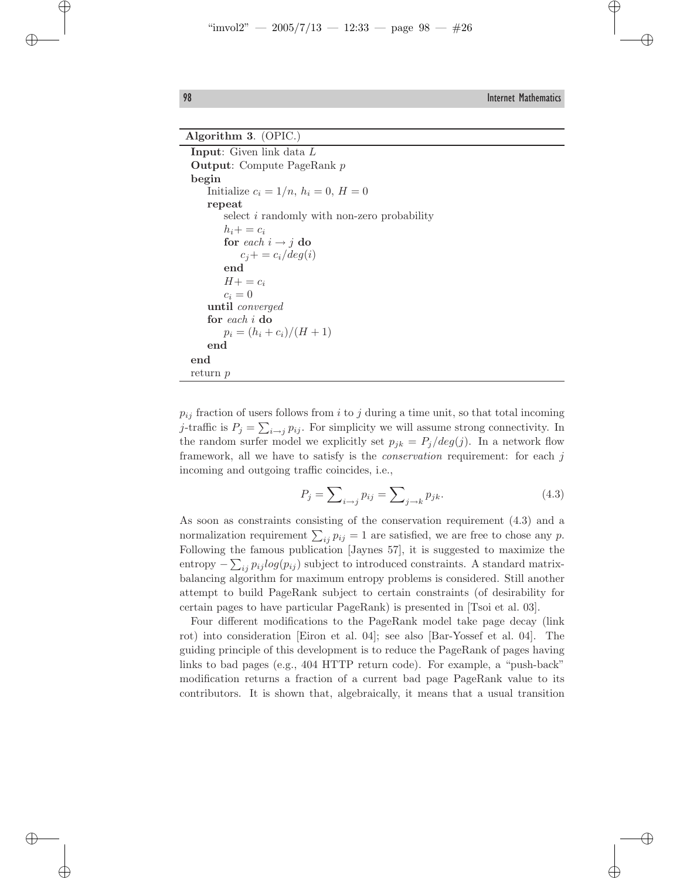✐

✐

✐

✐

| Algorithm 3. (OPIC.)                          |
|-----------------------------------------------|
| <b>Input:</b> Given link data L               |
| <b>Output:</b> Compute PageRank p             |
| begin                                         |
| Initialize $c_i = 1/n$ , $h_i = 0$ , $H = 0$  |
| repeat                                        |
| select $i$ randomly with non-zero probability |
| $h_i+=c_i$                                    |
| for each $i \rightarrow j$ do                 |
| $c_i+=c_i/deg(i)$                             |
| end                                           |
| $H+=c_i$                                      |
| $c_i=0$                                       |
| until <i>converged</i>                        |
| for each i do                                 |
| $p_i = (h_i + c_i)/(H + 1)$                   |
| end                                           |
| end                                           |
| return $p$                                    |

 $p_{ij}$  fraction of users follows from i to j during a time unit, so that total incoming j-traffic is  $P_j = \sum_{i \to j} p_{ij}$ . For simplicity we will assume strong connectivity. In the random surfer model we explicitly set  $p_{jk} = P_j/deg(j)$ . In a network flow framework, all we have to satisfy is the *conservation* requirement: for each j incoming and outgoing traffic coincides, i.e.,

$$
P_j = \sum_{i \to j} p_{ij} = \sum_{j \to k} p_{jk}.
$$
\n(4.3)

As soon as constraints consisting of the conservation requirement (4.3) and a normalization requirement  $\sum_{i,j} p_{ij} = 1$  are satisfied, we are free to chose any p. Following the famous publication [Jaynes 57], it is suggested to maximize the entropy  $-\sum_{ij} p_{ij} log(p_{ij})$  subject to introduced constraints. A standard matrixbalancing algorithm for maximum entropy problems is considered. Still another attempt to build PageRank subject to certain constraints (of desirability for certain pages to have particular PageRank) is presented in [Tsoi et al. 03].

Four different modifications to the PageRank model take page decay (link rot) into consideration [Eiron et al. 04]; see also [Bar-Yossef et al. 04]. The guiding principle of this development is to reduce the PageRank of pages having links to bad pages (e.g., 404 HTTP return code). For example, a "push-back" modification returns a fraction of a current bad page PageRank value to its contributors. It is shown that, algebraically, it means that a usual transition

✐

✐

✐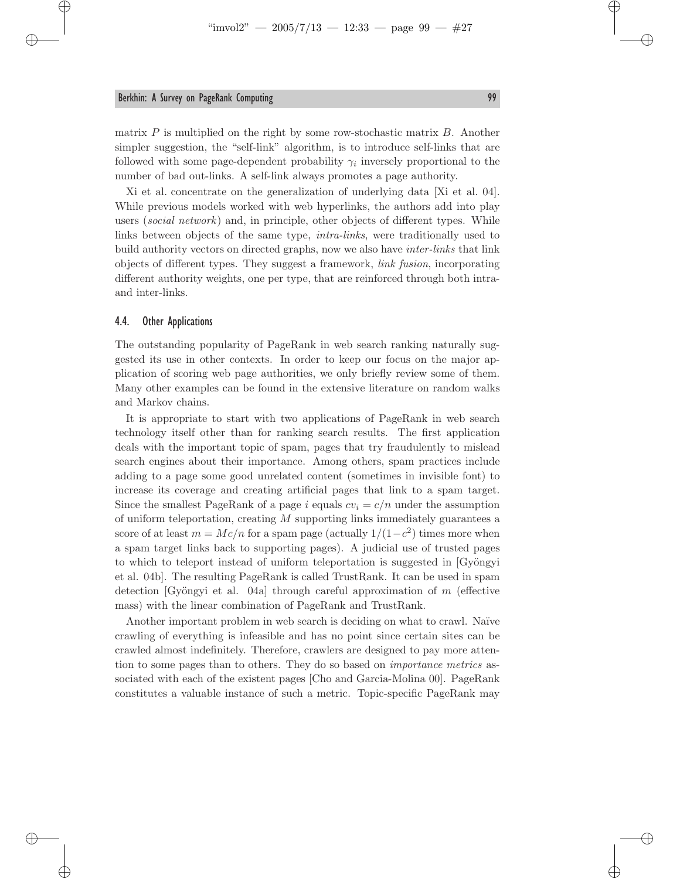✐

✐

✐

✐

matrix  $P$  is multiplied on the right by some row-stochastic matrix  $B$ . Another simpler suggestion, the "self-link" algorithm, is to introduce self-links that are followed with some page-dependent probability  $\gamma_i$  inversely proportional to the number of bad out-links. A self-link always promotes a page authority.

Xi et al. concentrate on the generalization of underlying data [Xi et al. 04]. While previous models worked with web hyperlinks, the authors add into play users (*social network*) and, in principle, other objects of different types. While links between objects of the same type, *intra-links*, were traditionally used to build authority vectors on directed graphs, now we also have *inter-links* that link objects of different types. They suggest a framework, *link fusion*, incorporating different authority weights, one per type, that are reinforced through both intraand inter-links.

### 4.4. Other Applications

The outstanding popularity of PageRank in web search ranking naturally suggested its use in other contexts. In order to keep our focus on the major application of scoring web page authorities, we only briefly review some of them. Many other examples can be found in the extensive literature on random walks and Markov chains.

It is appropriate to start with two applications of PageRank in web search technology itself other than for ranking search results. The first application deals with the important topic of spam, pages that try fraudulently to mislead search engines about their importance. Among others, spam practices include adding to a page some good unrelated content (sometimes in invisible font) to increase its coverage and creating artificial pages that link to a spam target. Since the smallest PageRank of a page i equals  $cv_i = c/n$  under the assumption of uniform teleportation, creating  $M$  supporting links immediately guarantees a score of at least  $m = Mc/n$  for a spam page (actually  $1/(1-c^2)$ ) times more when a spam target links back to supporting pages). A judicial use of trusted pages to which to teleport instead of uniform teleportation is suggested in [Gyöngyi] et al. 04b]. The resulting PageRank is called TrustRank. It can be used in spam detection [Gyöngyi et al. 04a] through careful approximation of  $m$  (effective mass) with the linear combination of PageRank and TrustRank.

Another important problem in web search is deciding on what to crawl. Naïve crawling of everything is infeasible and has no point since certain sites can be crawled almost indefinitely. Therefore, crawlers are designed to pay more attention to some pages than to others. They do so based on *importance metrics* associated with each of the existent pages [Cho and Garcia-Molina 00]. PageRank constitutes a valuable instance of such a metric. Topic-specific PageRank may

✐

✐

✐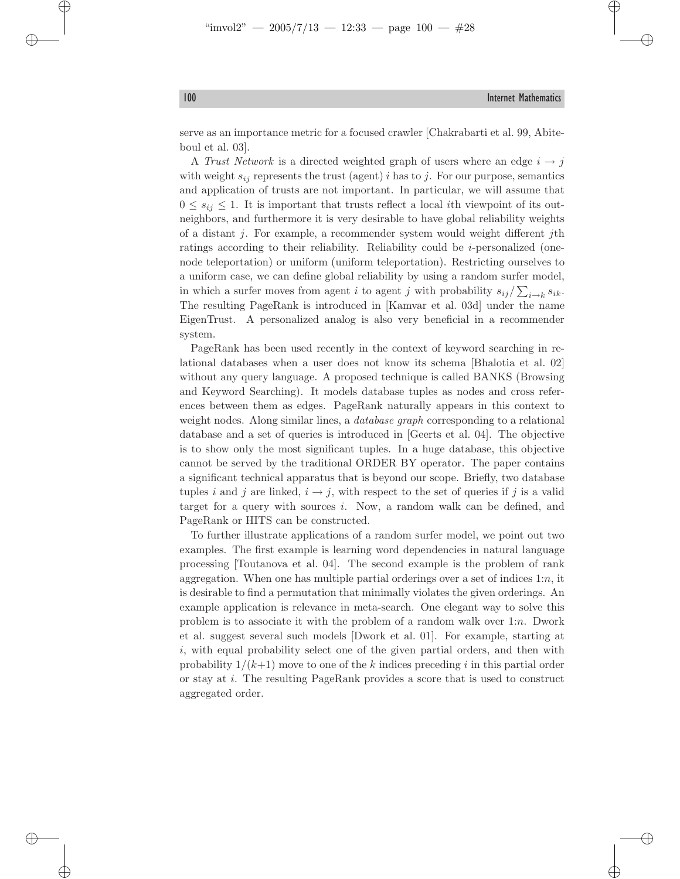$\oplus$ 

✐

✐

✐

serve as an importance metric for a focused crawler [Chakrabarti et al. 99, Abiteboul et al. 03].

A *Trust Network* is a directed weighted graph of users where an edge  $i \rightarrow j$ with weight  $s_{ij}$  represents the trust (agent) i has to j. For our purpose, semantics and application of trusts are not important. In particular, we will assume that  $0 \leq s_{ij} \leq 1$ . It is important that trusts reflect a local *i*th viewpoint of its outneighbors, and furthermore it is very desirable to have global reliability weights of a distant j. For example, a recommender system would weight different jth ratings according to their reliability. Reliability could be  $i$ -personalized (onenode teleportation) or uniform (uniform teleportation). Restricting ourselves to a uniform case, we can define global reliability by using a random surfer model, in which a surfer moves from agent i to agent j with probability  $s_{ij}/\sum_{i\to k} s_{ik}$ . The resulting PageRank is introduced in [Kamvar et al. 03d] under the name EigenTrust. A personalized analog is also very beneficial in a recommender system.

PageRank has been used recently in the context of keyword searching in relational databases when a user does not know its schema [Bhalotia et al. 02] without any query language. A proposed technique is called BANKS (Browsing and Keyword Searching). It models database tuples as nodes and cross references between them as edges. PageRank naturally appears in this context to weight nodes. Along similar lines, a *database graph* corresponding to a relational database and a set of queries is introduced in [Geerts et al. 04]. The objective is to show only the most significant tuples. In a huge database, this objective cannot be served by the traditional ORDER BY operator. The paper contains a significant technical apparatus that is beyond our scope. Briefly, two database tuples i and j are linked,  $i \rightarrow j$ , with respect to the set of queries if j is a valid target for a query with sources i. Now, a random walk can be defined, and PageRank or HITS can be constructed.

To further illustrate applications of a random surfer model, we point out two examples. The first example is learning word dependencies in natural language processing [Toutanova et al. 04]. The second example is the problem of rank aggregation. When one has multiple partial orderings over a set of indices  $1:n$ , it is desirable to find a permutation that minimally violates the given orderings. An example application is relevance in meta-search. One elegant way to solve this problem is to associate it with the problem of a random walk over 1:n. Dwork et al. suggest several such models [Dwork et al. 01]. For example, starting at i, with equal probability select one of the given partial orders, and then with probability  $1/(k+1)$  move to one of the k indices preceding i in this partial order or stay at i. The resulting PageRank provides a score that is used to construct aggregated order.

✐

✐

✐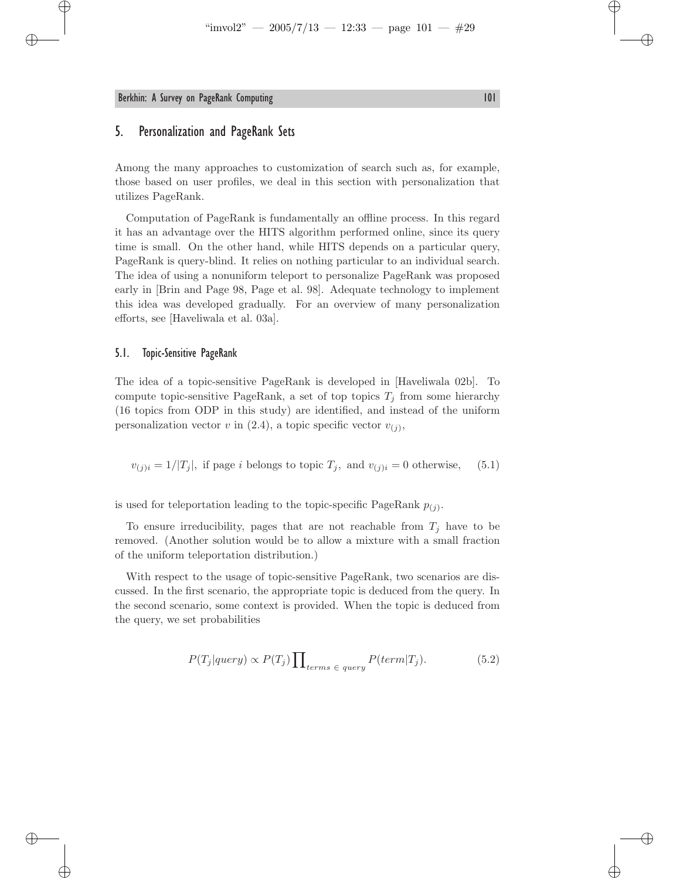✐

✐

✐

✐

# 5. Personalization and PageRank Sets

Among the many approaches to customization of search such as, for example, those based on user profiles, we deal in this section with personalization that utilizes PageRank.

Computation of PageRank is fundamentally an offline process. In this regard it has an advantage over the HITS algorithm performed online, since its query time is small. On the other hand, while HITS depends on a particular query, PageRank is query-blind. It relies on nothing particular to an individual search. The idea of using a nonuniform teleport to personalize PageRank was proposed early in [Brin and Page 98, Page et al. 98]. Adequate technology to implement this idea was developed gradually. For an overview of many personalization efforts, see [Haveliwala et al. 03a].

### 5.1. Topic-Sensitive PageRank

The idea of a topic-sensitive PageRank is developed in [Haveliwala 02b]. To compute topic-sensitive PageRank, a set of top topics  $T_j$  from some hierarchy (16 topics from ODP in this study) are identified, and instead of the uniform personalization vector v in  $(2.4)$ , a topic specific vector  $v_{(i)}$ ,

 $v_{(j)i} = 1/|T_j|$ , if page i belongs to topic  $T_j$ , and  $v_{(j)i} = 0$  otherwise, (5.1)

is used for teleportation leading to the topic-specific PageRank  $p_{(j)}$ .

To ensure irreducibility, pages that are not reachable from  $T_j$  have to be removed. (Another solution would be to allow a mixture with a small fraction of the uniform teleportation distribution.)

With respect to the usage of topic-sensitive PageRank, two scenarios are discussed. In the first scenario, the appropriate topic is deduced from the query. In the second scenario, some context is provided. When the topic is deduced from the query, we set probabilities

$$
P(T_j|query) \propto P(T_j) \prod_{terms \in query} P(term|T_j).
$$
 (5.2)

✐

✐

✐

 $\oplus$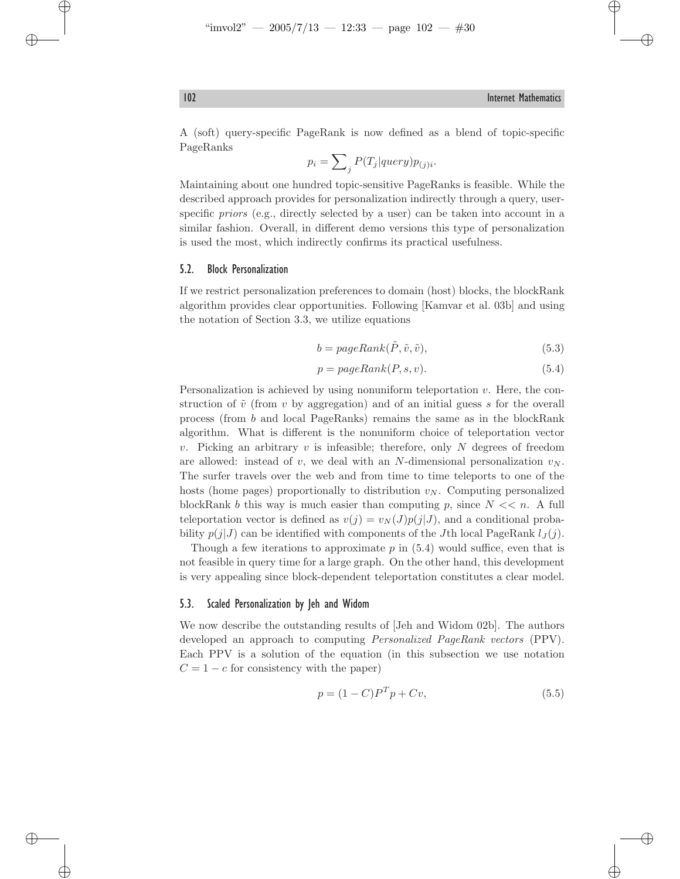✐

✐

✐

✐

A (soft) query-specific PageRank is now defined as a blend of topic-specific PageRanks

$$
p_i = \sum_j P(T_j | query)p_{(j)i}.
$$

Maintaining about one hundred topic-sensitive PageRanks is feasible. While the described approach provides for personalization indirectly through a query, userspecific *priors* (e.g., directly selected by a user) can be taken into account in a similar fashion. Overall, in different demo versions this type of personalization is used the most, which indirectly confirms its practical usefulness.

## 5.2. Block Personalization

If we restrict personalization preferences to domain (host) blocks, the blockRank algorithm provides clear opportunities. Following [Kamvar et al. 03b] and using the notation of Section 3.3, we utilize equations

$$
b = pageRank(\tilde{P}, \tilde{v}, \tilde{v}),
$$
\n
$$
(5.3)
$$

$$
p = pageRank(P, s, v). \tag{5.4}
$$

Personalization is achieved by using nonuniform teleportation  $v$ . Here, the construction of  $\tilde{v}$  (from v by aggregation) and of an initial guess s for the overall process (from b and local PageRanks) remains the same as in the blockRank algorithm. What is different is the nonuniform choice of teleportation vector v. Picking an arbitrary v is infeasible; therefore, only  $N$  degrees of freedom are allowed: instead of v, we deal with an N-dimensional personalization  $v_N$ . The surfer travels over the web and from time to time teleports to one of the hosts (home pages) proportionally to distribution  $v_N$ . Computing personalized blockRank b this way is much easier than computing p, since  $N \ll n$ . A full teleportation vector is defined as  $v(j) = v_N(J)p(j|J)$ , and a conditional probability  $p(j|J)$  can be identified with components of the Jth local PageRank  $l_I(i)$ .

Though a few iterations to approximate  $p$  in  $(5.4)$  would suffice, even that is not feasible in query time for a large graph. On the other hand, this development is very appealing since block-dependent teleportation constitutes a clear model.

# 5.3. Scaled Personalization by Jeh and Widom

We now describe the outstanding results of [Jeh and Widom 02b]. The authors developed an approach to computing *Personalized PageRank vectors* (PPV). Each PPV is a solution of the equation (in this subsection we use notation  $C = 1 - c$  for consistency with the paper)

$$
p = (1 - C)P^{T}p + Cv,
$$
\n(5.5)

✐

✐

✐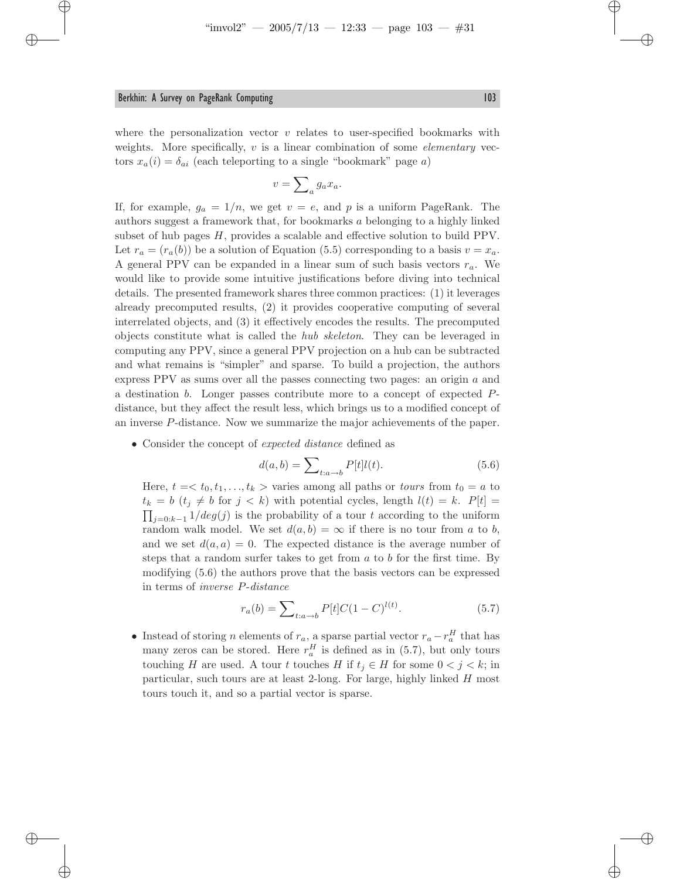✐

✐

✐

✐

where the personalization vector  $v$  relates to user-specified bookmarks with weights. More specifically, v is a linear combination of some *elementary* vectors  $x_a(i) = \delta_{ai}$  (each teleporting to a single "bookmark" page a)

$$
v=\sum\nolimits_a g_a x_a.
$$

If, for example,  $g_a = 1/n$ , we get  $v = e$ , and p is a uniform PageRank. The authors suggest a framework that, for bookmarks a belonging to a highly linked subset of hub pages H, provides a scalable and effective solution to build PPV. Let  $r_a = (r_a(b))$  be a solution of Equation (5.5) corresponding to a basis  $v = x_a$ . A general PPV can be expanded in a linear sum of such basis vectors  $r_a$ . We would like to provide some intuitive justifications before diving into technical details. The presented framework shares three common practices: (1) it leverages already precomputed results, (2) it provides cooperative computing of several interrelated objects, and (3) it effectively encodes the results. The precomputed objects constitute what is called the *hub skeleton*. They can be leveraged in computing any PPV, since a general PPV projection on a hub can be subtracted and what remains is "simpler" and sparse. To build a projection, the authors express PPV as sums over all the passes connecting two pages: an origin a and a destination b. Longer passes contribute more to a concept of expected Pdistance, but they affect the result less, which brings us to a modified concept of an inverse P-distance. Now we summarize the major achievements of the paper.

• Consider the concept of *expected distance* defined as

$$
d(a,b) = \sum_{t:a \to b} P[t]l(t). \tag{5.6}
$$

Here,  $t = < t_0, t_1, \ldots, t_k >$  varies among all paths or *tours* from  $t_0 = a$  to  $t_k = b$   $(t_j \neq b$  for  $j < k$ ) with potential cycles, length  $l(t) = k$ .  $P[t] =$  $\prod_{j=0:k-1} 1/deg(j)$  is the probability of a tour t according to the uniform random walk model. We set  $d(a, b) = \infty$  if there is no tour from a to b, and we set  $d(a, a) = 0$ . The expected distance is the average number of steps that a random surfer takes to get from  $a$  to  $b$  for the first time. By modifying (5.6) the authors prove that the basis vectors can be expressed in terms of *inverse* P-*distance*

$$
r_a(b) = \sum_{t:a \to b} P[t]C(1-C)^{l(t)}.
$$
\n(5.7)

• Instead of storing *n* elements of  $r_a$ , a sparse partial vector  $r_a - r_a^H$  that has many zeros can be stored. Here  $r_a^H$  is defined as in (5.7), but only tours touching H are used. A tour t touches H if  $t_j \in H$  for some  $0 < j < k$ ; in particular, such tours are at least 2-long. For large, highly linked H most tours touch it, and so a partial vector is sparse.

✐

✐

✐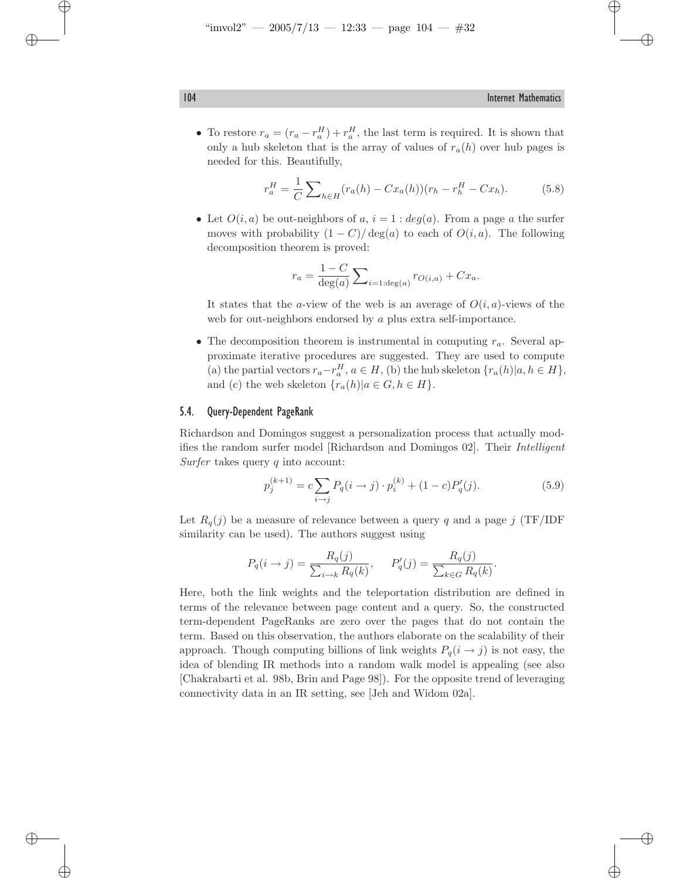✐

✐

✐

✐

• To restore  $r_a = (r_a - r_a^H) + r_a^H$ , the last term is required. It is shown that only a hub skeleton that is the array of values of  $r_a(h)$  over hub pages is needed for this. Beautifully,

$$
r_a^H = \frac{1}{C} \sum_{h \in H} (r_a(h) - Cx_a(h))(r_h - r_h^H - Cx_h).
$$
 (5.8)

• Let  $O(i, a)$  be out-neighbors of a,  $i = 1$ :  $deg(a)$ . From a page a the surfer moves with probability  $(1 - C)/\deg(a)$  to each of  $O(i, a)$ . The following decomposition theorem is proved:

$$
r_a = \frac{1 - C}{\deg(a)} \sum_{i=1:\deg(a)} r_{O(i,a)} + C x_a.
$$

It states that the a-view of the web is an average of  $O(i, a)$ -views of the web for out-neighbors endorsed by a plus extra self-importance.

• The decomposition theorem is instrumental in computing  $r_a$ . Several approximate iterative procedures are suggested. They are used to compute (a) the partial vectors  $r_a-r_a^H$ ,  $a \in H$ , (b) the hub skeleton  $\{r_a(h)|a, h \in H\}$ , and (c) the web skeleton  $\{r_a(h)|a \in G, h \in H\}.$ 

# 5.4. Query-Dependent PageRank

Richardson and Domingos suggest a personalization process that actually modifies the random surfer model [Richardson and Domingos 02]. Their *Intelligent Surfer* takes query q into account:

$$
p_j^{(k+1)} = c \sum_{i \to j} P_q(i \to j) \cdot p_i^{(k)} + (1 - c) P'_q(j). \tag{5.9}
$$

Let  $R_q(j)$  be a measure of relevance between a query q and a page j (TF/IDF) similarity can be used). The authors suggest using

$$
P_q(i \to j) = \frac{R_q(j)}{\sum_{i \to k} R_q(k)}, \qquad P'_q(j) = \frac{R_q(j)}{\sum_{k \in G} R_q(k)}.
$$

Here, both the link weights and the teleportation distribution are defined in terms of the relevance between page content and a query. So, the constructed term-dependent PageRanks are zero over the pages that do not contain the term. Based on this observation, the authors elaborate on the scalability of their approach. Though computing billions of link weights  $P_q(i \rightarrow j)$  is not easy, the idea of blending IR methods into a random walk model is appealing (see also [Chakrabarti et al. 98b, Brin and Page 98]). For the opposite trend of leveraging connectivity data in an IR setting, see [Jeh and Widom 02a].

✐

✐

✐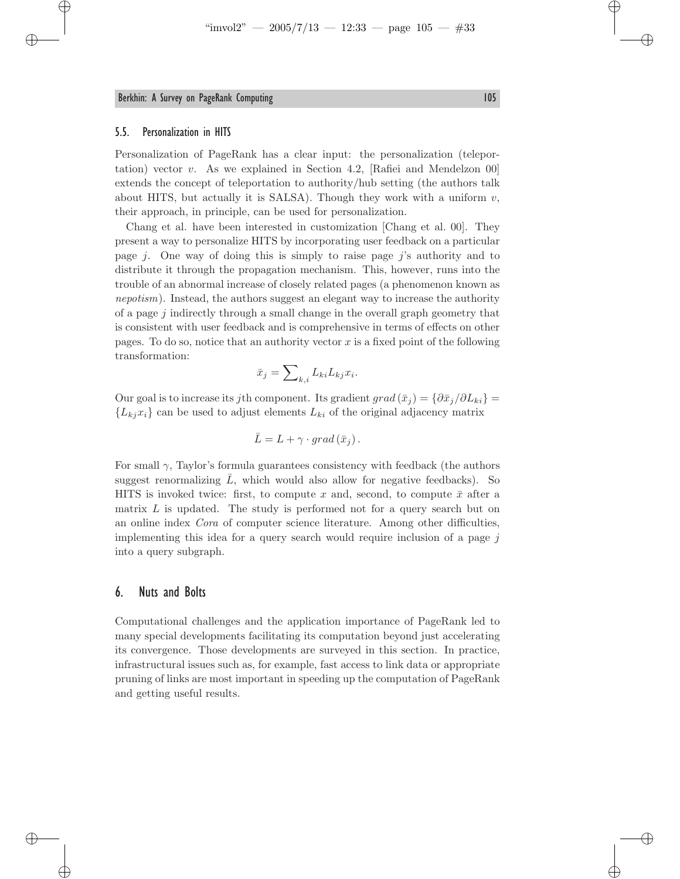### 5.5. Personalization in HITS

✐

✐

✐

✐

Personalization of PageRank has a clear input: the personalization (teleportation) vector v. As we explained in Section 4.2, [Rafiei and Mendelzon  $[00]$ extends the concept of teleportation to authority/hub setting (the authors talk about HITS, but actually it is SALSA). Though they work with a uniform  $v$ , their approach, in principle, can be used for personalization.

Chang et al. have been interested in customization [Chang et al. 00]. They present a way to personalize HITS by incorporating user feedback on a particular page j. One way of doing this is simply to raise page j's authority and to distribute it through the propagation mechanism. This, however, runs into the trouble of an abnormal increase of closely related pages (a phenomenon known as *nepotism*). Instead, the authors suggest an elegant way to increase the authority of a page  $j$  indirectly through a small change in the overall graph geometry that is consistent with user feedback and is comprehensive in terms of effects on other pages. To do so, notice that an authority vector  $x$  is a fixed point of the following transformation:

$$
\bar{x}_j = \sum\nolimits_{k,i} L_{ki} L_{kj} x_i.
$$

Our goal is to increase its jth component. Its gradient  $grad(\bar{x}_i) = {\partial \bar{x}_i / \partial L_{ki}}$  ${L_{kj}}x_i$  can be used to adjust elements  $L_{ki}$  of the original adjacency matrix

$$
\bar{L} = L + \gamma \cdot grad\left(\bar{x}_j\right).
$$

For small  $\gamma$ , Taylor's formula guarantees consistency with feedback (the authors suggest renormalizing  $\overline{L}$ , which would also allow for negative feedbacks). So HITS is invoked twice: first, to compute x and, second, to compute  $\bar{x}$  after a matrix  $L$  is updated. The study is performed not for a query search but on an online index *Cora* of computer science literature. Among other difficulties, implementing this idea for a query search would require inclusion of a page  $j$ into a query subgraph.

# 6. Nuts and Bolts

Computational challenges and the application importance of PageRank led to many special developments facilitating its computation beyond just accelerating its convergence. Those developments are surveyed in this section. In practice, infrastructural issues such as, for example, fast access to link data or appropriate pruning of links are most important in speeding up the computation of PageRank and getting useful results.

✐

✐

✐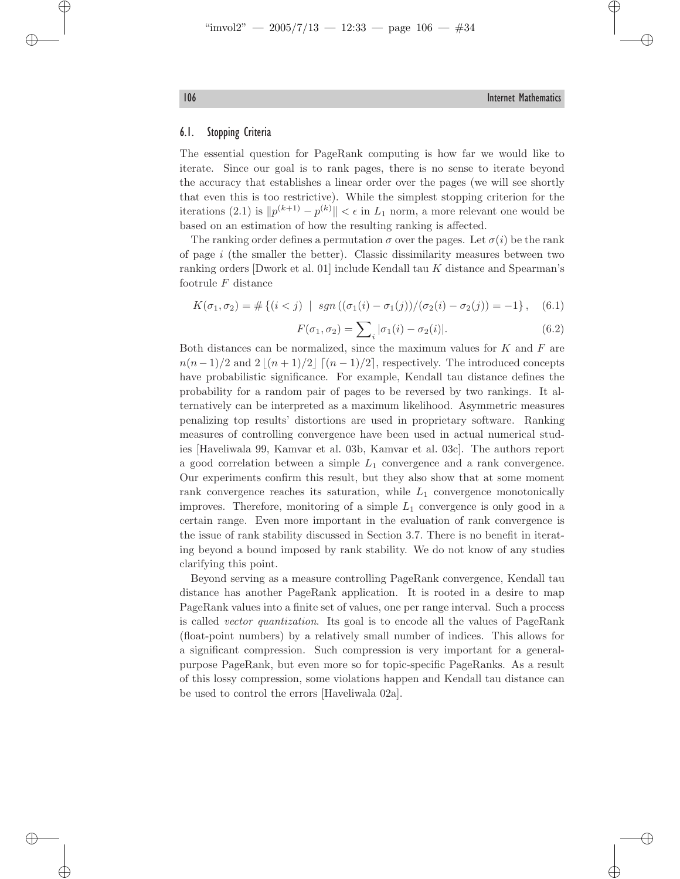✐

✐

✐

✐

# 6.1. Stopping Criteria

The essential question for PageRank computing is how far we would like to iterate. Since our goal is to rank pages, there is no sense to iterate beyond the accuracy that establishes a linear order over the pages (we will see shortly that even this is too restrictive). While the simplest stopping criterion for the iterations (2.1) is  $||p^{(k+1)} - p^{(k)}|| < \epsilon$  in  $L_1$  norm, a more relevant one would be based on an estimation of how the resulting ranking is affected.

The ranking order defines a permutation  $\sigma$  over the pages. Let  $\sigma(i)$  be the rank of page  $i$  (the smaller the better). Classic dissimilarity measures between two ranking orders [Dwork et al. 01] include Kendall tau K distance and Spearman's footrule F distance

$$
K(\sigma_1, \sigma_2) = \# \{ (i < j) \mid sgn \left( (\sigma_1(i) - \sigma_1(j)) / (\sigma_2(i) - \sigma_2(j)) \right) = -1 \}, \quad (6.1)
$$

$$
F(\sigma_1, \sigma_2) = \sum_{i} |\sigma_1(i) - \sigma_2(i)|.
$$
\n(6.2)

Both distances can be normalized, since the maximum values for  $K$  and  $F$  are  $n(n-1)/2$  and  $2|(n+1)/2|$   $\lceil (n-1)/2 \rceil$ , respectively. The introduced concepts have probabilistic significance. For example, Kendall tau distance defines the probability for a random pair of pages to be reversed by two rankings. It alternatively can be interpreted as a maximum likelihood. Asymmetric measures penalizing top results' distortions are used in proprietary software. Ranking measures of controlling convergence have been used in actual numerical studies [Haveliwala 99, Kamvar et al. 03b, Kamvar et al. 03c]. The authors report a good correlation between a simple  $L_1$  convergence and a rank convergence. Our experiments confirm this result, but they also show that at some moment rank convergence reaches its saturation, while  $L_1$  convergence monotonically improves. Therefore, monitoring of a simple  $L_1$  convergence is only good in a certain range. Even more important in the evaluation of rank convergence is the issue of rank stability discussed in Section 3.7. There is no benefit in iterating beyond a bound imposed by rank stability. We do not know of any studies clarifying this point.

Beyond serving as a measure controlling PageRank convergence, Kendall tau distance has another PageRank application. It is rooted in a desire to map PageRank values into a finite set of values, one per range interval. Such a process is called *vector quantization*. Its goal is to encode all the values of PageRank (float-point numbers) by a relatively small number of indices. This allows for a significant compression. Such compression is very important for a generalpurpose PageRank, but even more so for topic-specific PageRanks. As a result of this lossy compression, some violations happen and Kendall tau distance can be used to control the errors [Haveliwala 02a].

✐

✐

✐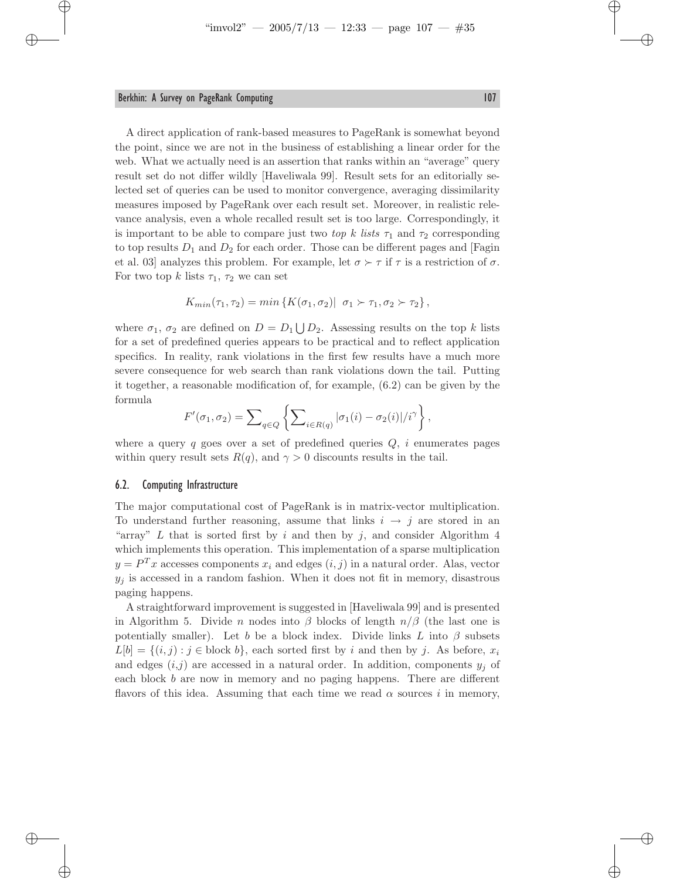✐

✐

✐

✐

A direct application of rank-based measures to PageRank is somewhat beyond the point, since we are not in the business of establishing a linear order for the web. What we actually need is an assertion that ranks within an "average" query result set do not differ wildly [Haveliwala 99]. Result sets for an editorially selected set of queries can be used to monitor convergence, averaging dissimilarity measures imposed by PageRank over each result set. Moreover, in realistic relevance analysis, even a whole recalled result set is too large. Correspondingly, it is important to be able to compare just two *top* k *lists*  $\tau_1$  and  $\tau_2$  corresponding to top results  $D_1$  and  $D_2$  for each order. Those can be different pages and [Fagin et al. 03] analyzes this problem. For example, let  $\sigma \succ \tau$  if  $\tau$  is a restriction of  $\sigma$ . For two top k lists  $\tau_1$ ,  $\tau_2$  we can set

$$
K_{min}(\tau_1, \tau_2) = min\left\{K(\sigma_1, \sigma_2) | \sigma_1 \succ \tau_1, \sigma_2 \succ \tau_2\right\},\
$$

where  $\sigma_1$ ,  $\sigma_2$  are defined on  $D = D_1 \bigcup D_2$ . Assessing results on the top k lists for a set of predefined queries appears to be practical and to reflect application specifics. In reality, rank violations in the first few results have a much more severe consequence for web search than rank violations down the tail. Putting it together, a reasonable modification of, for example, (6.2) can be given by the formula

$$
F'(\sigma_1, \sigma_2) = \sum_{q \in Q} \left\{ \sum_{i \in R(q)} |\sigma_1(i) - \sigma_2(i)|/i^{\gamma} \right\},\,
$$

where a query q goes over a set of predefined queries  $Q$ , i enumerates pages within query result sets  $R(q)$ , and  $\gamma > 0$  discounts results in the tail.

### 6.2. Computing Infrastructure

The major computational cost of PageRank is in matrix-vector multiplication. To understand further reasoning, assume that links  $i \rightarrow j$  are stored in an "array" L that is sorted first by i and then by j, and consider Algorithm  $4$ which implements this operation. This implementation of a sparse multiplication  $y = P<sup>T</sup>x$  accesses components  $x_i$  and edges  $(i, j)$  in a natural order. Alas, vector  $y_i$  is accessed in a random fashion. When it does not fit in memory, disastrous paging happens.

A straightforward improvement is suggested in [Haveliwala 99] and is presented in Algorithm 5. Divide *n* nodes into  $\beta$  blocks of length  $n/\beta$  (the last one is potentially smaller). Let b be a block index. Divide links L into  $\beta$  subsets  $L[b] = \{(i, j) : j \in \text{block } b\}$ , each sorted first by i and then by j. As before,  $x_i$ and edges  $(i,j)$  are accessed in a natural order. In addition, components  $y_i$  of each block b are now in memory and no paging happens. There are different flavors of this idea. Assuming that each time we read  $\alpha$  sources i in memory,

✐

✐

✐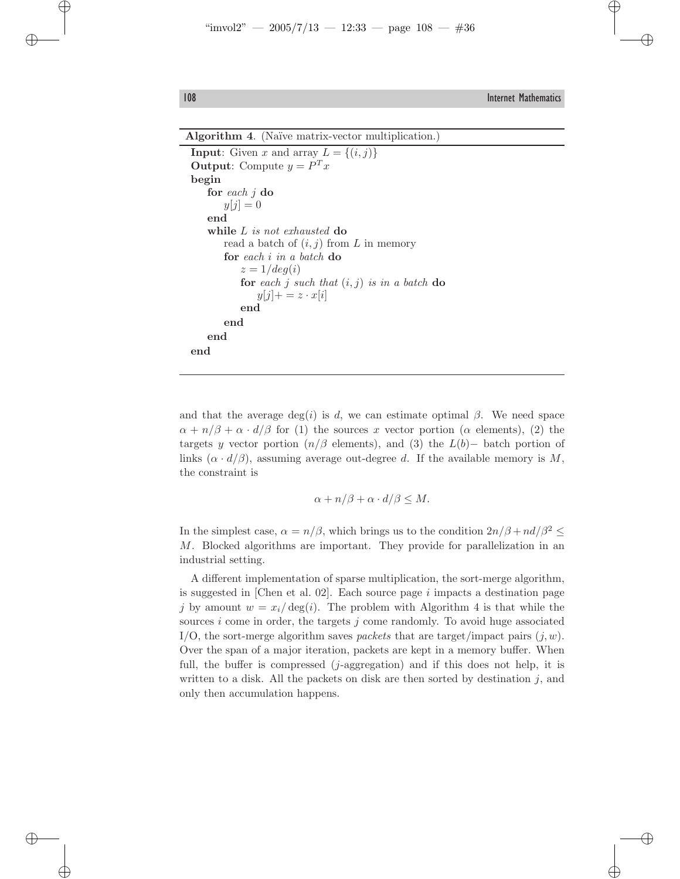✐

✐

✐

 $\oplus$ 

```
Algorithm 4. (Naïve matrix-vector multiplication.)
Input: Given x and array L = \{(i, j)\}\Output: Compute y = P^T xbegin
    for each j do
       y[j]=0end
    while L is not exhausted do
       read a batch of (i, j) from L in memory
       for each i in a batch do
          z = 1/deg(i)for each j such that (i, j) is in a batch do
              y[j]+=z\cdot x[i]end
       end
    end
end
```
and that the average deg(i) is d, we can estimate optimal  $\beta$ . We need space  $\alpha + n/\beta + \alpha \cdot d/\beta$  for (1) the sources x vector portion ( $\alpha$  elements), (2) the targets y vector portion  $(n/\beta$  elements), and (3) the  $L(b)$ – batch portion of links  $(\alpha \cdot d/\beta)$ , assuming average out-degree d. If the available memory is M, the constraint is

$$
\alpha + n/\beta + \alpha \cdot d/\beta \le M.
$$

In the simplest case,  $\alpha = n/\beta$ , which brings us to the condition  $2n/\beta + nd/\beta^2 \leq$ M. Blocked algorithms are important. They provide for parallelization in an industrial setting.

A different implementation of sparse multiplication, the sort-merge algorithm, is suggested in [Chen et al. 02]. Each source page  $i$  impacts a destination page j by amount  $w = x_i/\deg(i)$ . The problem with Algorithm 4 is that while the sources  $i$  come in order, the targets  $j$  come randomly. To avoid huge associated I/O, the sort-merge algorithm saves *packets* that are target/impact pairs  $(j, w)$ . Over the span of a major iteration, packets are kept in a memory buffer. When full, the buffer is compressed  $(j$ -aggregation) and if this does not help, it is written to a disk. All the packets on disk are then sorted by destination  $j$ , and only then accumulation happens.

✐

✐

✐

 $\oplus$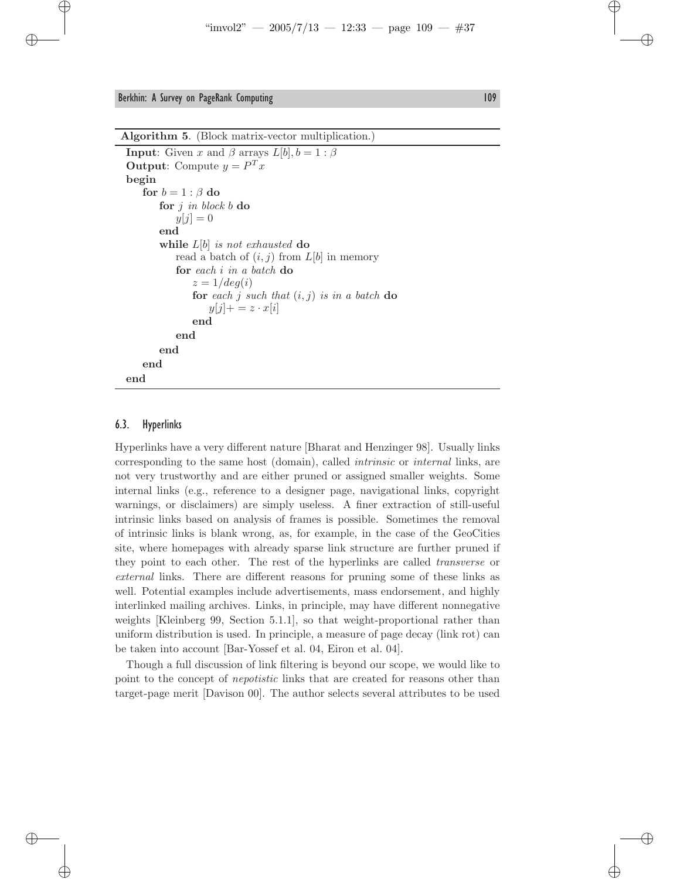"imvol2" — 2005/7/13 — 12:33 — page  $109 - #37$ 

# Berkhin: A Survey on PageRank Computing 109

✐

✐

✐

 $\oplus$ 

```
Algorithm 5. (Block matrix-vector multiplication.)
Input: Given x and \beta arrays L[b], b = 1 : \betaOutput: Compute y = P^T xbegin
    for b = 1 : \beta do
       for j in block b do
           y[j]=0end
       while L[b] is not exhausted do
           read a batch of (i, j) from L[b] in memory
           for each i in a batch do
              z = 1/deg(i)for each j such that (i, j) is in a batch do
                  y[j]+=z\cdot x[i]end
           end
       end
    end
end
```
# 6.3. Hyperlinks

Hyperlinks have a very different nature [Bharat and Henzinger 98]. Usually links corresponding to the same host (domain), called *intrinsic* or *internal* links, are not very trustworthy and are either pruned or assigned smaller weights. Some internal links (e.g., reference to a designer page, navigational links, copyright warnings, or disclaimers) are simply useless. A finer extraction of still-useful intrinsic links based on analysis of frames is possible. Sometimes the removal of intrinsic links is blank wrong, as, for example, in the case of the GeoCities site, where homepages with already sparse link structure are further pruned if they point to each other. The rest of the hyperlinks are called *transverse* or *external* links. There are different reasons for pruning some of these links as well. Potential examples include advertisements, mass endorsement, and highly interlinked mailing archives. Links, in principle, may have different nonnegative weights [Kleinberg 99, Section 5.1.1], so that weight-proportional rather than uniform distribution is used. In principle, a measure of page decay (link rot) can be taken into account [Bar-Yossef et al. 04, Eiron et al. 04].

Though a full discussion of link filtering is beyond our scope, we would like to point to the concept of *nepotistic* links that are created for reasons other than target-page merit [Davison 00]. The author selects several attributes to be used

✐

 $\oplus$ 

✐

 $\oplus$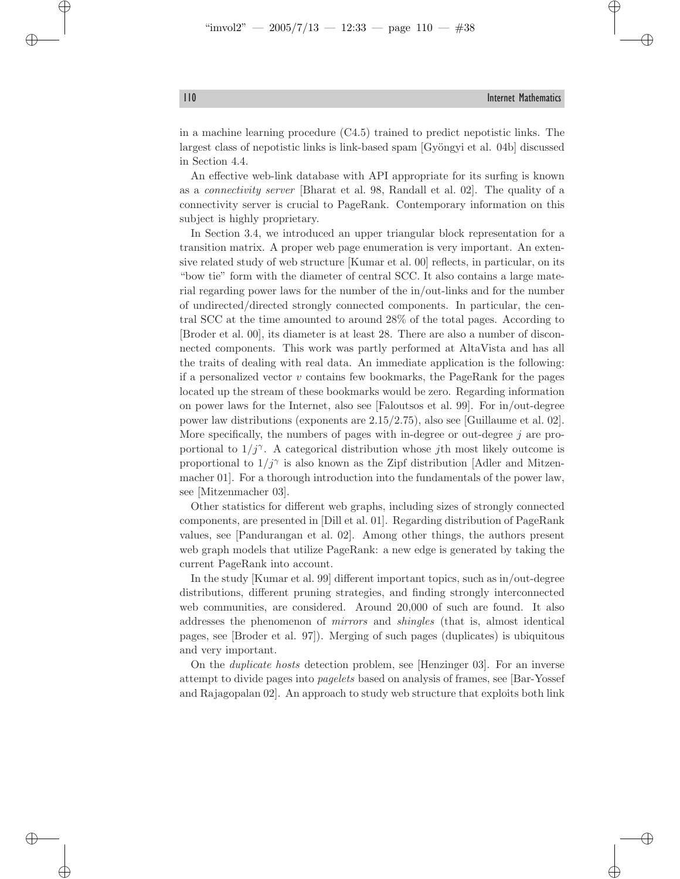✐

✐

✐

✐

in a machine learning procedure (C4.5) trained to predict nepotistic links. The largest class of nepotistic links is link-based spam [Gyöngyi et al. 04b] discussed in Section 4.4.

An effective web-link database with API appropriate for its surfing is known as a *connectivity server* [Bharat et al. 98, Randall et al. 02]. The quality of a connectivity server is crucial to PageRank. Contemporary information on this subject is highly proprietary.

In Section 3.4, we introduced an upper triangular block representation for a transition matrix. A proper web page enumeration is very important. An extensive related study of web structure [Kumar et al. 00] reflects, in particular, on its "bow tie" form with the diameter of central SCC. It also contains a large material regarding power laws for the number of the in/out-links and for the number of undirected/directed strongly connected components. In particular, the central SCC at the time amounted to around 28% of the total pages. According to [Broder et al. 00], its diameter is at least 28. There are also a number of disconnected components. This work was partly performed at AltaVista and has all the traits of dealing with real data. An immediate application is the following: if a personalized vector  $v$  contains few bookmarks, the PageRank for the pages located up the stream of these bookmarks would be zero. Regarding information on power laws for the Internet, also see [Faloutsos et al. 99]. For in/out-degree power law distributions (exponents are 2.15/2.75), also see [Guillaume et al. 02]. More specifically, the numbers of pages with in-degree or out-degree  $j$  are proportional to  $1/j^{\gamma}$ . A categorical distribution whose jth most likely outcome is proportional to  $1/j^{\gamma}$  is also known as the Zipf distribution [Adler and Mitzenmacher 01]. For a thorough introduction into the fundamentals of the power law, see [Mitzenmacher 03].

Other statistics for different web graphs, including sizes of strongly connected components, are presented in [Dill et al. 01]. Regarding distribution of PageRank values, see [Pandurangan et al. 02]. Among other things, the authors present web graph models that utilize PageRank: a new edge is generated by taking the current PageRank into account.

In the study [Kumar et al. 99] different important topics, such as in/out-degree distributions, different pruning strategies, and finding strongly interconnected web communities, are considered. Around 20,000 of such are found. It also addresses the phenomenon of *mirrors* and *shingles* (that is, almost identical pages, see [Broder et al. 97]). Merging of such pages (duplicates) is ubiquitous and very important.

On the *duplicate hosts* detection problem, see [Henzinger 03]. For an inverse attempt to divide pages into *pagelets* based on analysis of frames, see [Bar-Yossef and Rajagopalan 02]. An approach to study web structure that exploits both link

✐

✐

✐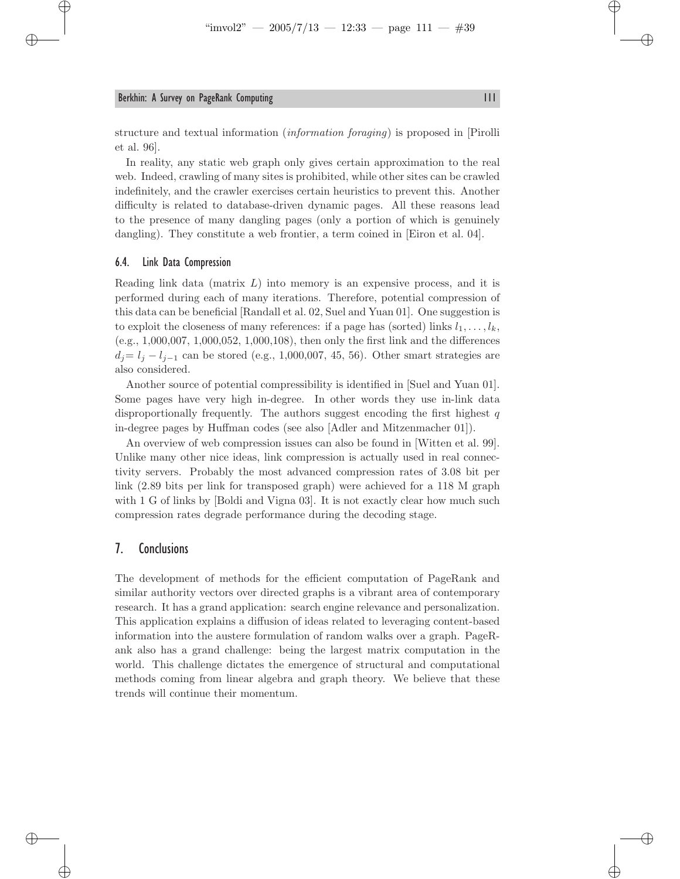✐

✐

✐

✐

structure and textual information (*information foraging*) is proposed in [Pirolli et al. 96].

In reality, any static web graph only gives certain approximation to the real web. Indeed, crawling of many sites is prohibited, while other sites can be crawled indefinitely, and the crawler exercises certain heuristics to prevent this. Another difficulty is related to database-driven dynamic pages. All these reasons lead to the presence of many dangling pages (only a portion of which is genuinely dangling). They constitute a web frontier, a term coined in [Eiron et al. 04].

### 6.4. Link Data Compression

Reading link data (matrix  $L$ ) into memory is an expensive process, and it is performed during each of many iterations. Therefore, potential compression of this data can be beneficial [Randall et al. 02, Suel and Yuan 01]. One suggestion is to exploit the closeness of many references: if a page has (sorted) links  $l_1,\ldots,l_k$ , (e.g., 1,000,007, 1,000,052, 1,000,108), then only the first link and the differences  $d_j = l_j - l_{j-1}$  can be stored (e.g., 1,000,007, 45, 56). Other smart strategies are also considered.

Another source of potential compressibility is identified in [Suel and Yuan 01]. Some pages have very high in-degree. In other words they use in-link data disproportionally frequently. The authors suggest encoding the first highest  $q$ in-degree pages by Huffman codes (see also [Adler and Mitzenmacher 01]).

An overview of web compression issues can also be found in [Witten et al. 99]. Unlike many other nice ideas, link compression is actually used in real connectivity servers. Probably the most advanced compression rates of 3.08 bit per link (2.89 bits per link for transposed graph) were achieved for a 118 M graph with 1 G of links by [Boldi and Vigna 03]. It is not exactly clear how much such compression rates degrade performance during the decoding stage.

# 7. Conclusions

The development of methods for the efficient computation of PageRank and similar authority vectors over directed graphs is a vibrant area of contemporary research. It has a grand application: search engine relevance and personalization. This application explains a diffusion of ideas related to leveraging content-based information into the austere formulation of random walks over a graph. PageRank also has a grand challenge: being the largest matrix computation in the world. This challenge dictates the emergence of structural and computational methods coming from linear algebra and graph theory. We believe that these trends will continue their momentum.

✐

✐

✐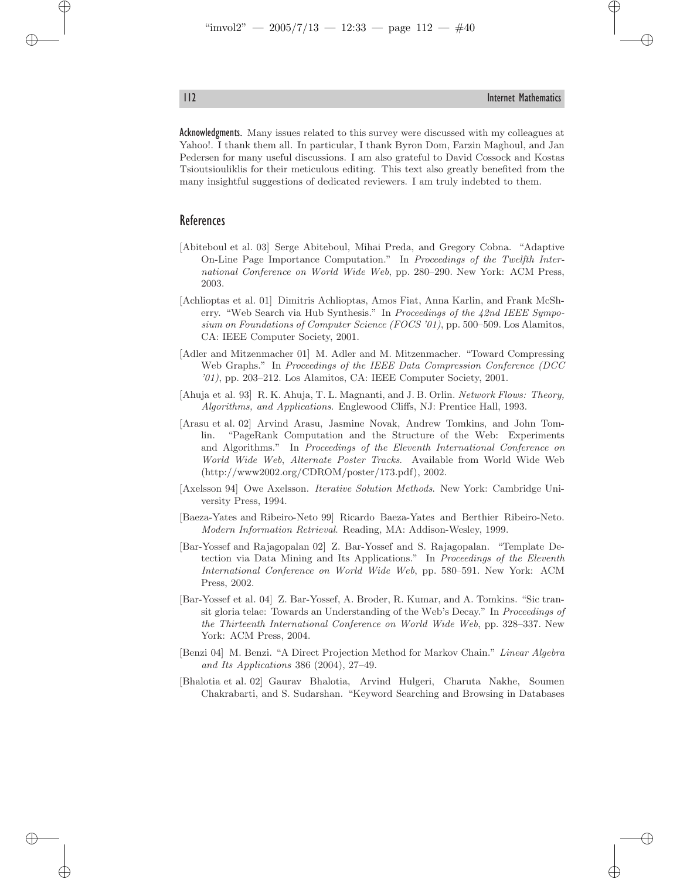# 112 and the control of the control of the control of the control of the control of the control of the control of the control of the control of the control of the control of the control of the control of the control of the

✐

✐

✐

✐

Acknowledgments. Many issues related to this survey were discussed with my colleagues at Yahoo!. I thank them all. In particular, I thank Byron Dom, Farzin Maghoul, and Jan Pedersen for many useful discussions. I am also grateful to David Cossock and Kostas Tsioutsiouliklis for their meticulous editing. This text also greatly benefited from the many insightful suggestions of dedicated reviewers. I am truly indebted to them.

# References

- [Abiteboul et al. 03] Serge Abiteboul, Mihai Preda, and Gregory Cobna. "Adaptive On-Line Page Importance Computation." In *Proceedings of the Twelfth International Conference on World Wide Web*, pp. 280–290. New York: ACM Press, 2003.
- [Achlioptas et al. 01] Dimitris Achlioptas, Amos Fiat, Anna Karlin, and Frank McSherry. "Web Search via Hub Synthesis." In *Proceedings of the 42nd IEEE Symposium on Foundations of Computer Science (FOCS '01)*, pp. 500–509. Los Alamitos, CA: IEEE Computer Society, 2001.
- [Adler and Mitzenmacher 01] M. Adler and M. Mitzenmacher. "Toward Compressing Web Graphs." In *Proceedings of the IEEE Data Compression Conference (DCC '01)*, pp. 203–212. Los Alamitos, CA: IEEE Computer Society, 2001.
- [Ahuja et al. 93] R. K. Ahuja, T. L. Magnanti, and J. B. Orlin. *Network Flows: Theory, Algorithms, and Applications*. Englewood Cliffs, NJ: Prentice Hall, 1993.
- [Arasu et al. 02] Arvind Arasu, Jasmine Novak, Andrew Tomkins, and John Tomlin. "PageRank Computation and the Structure of the Web: Experiments and Algorithms." In *Proceedings of the Eleventh International Conference on World Wide Web*, *Alternate Poster Tracks*. Available from World Wide Web (http://www2002.org/CDROM/poster/173.pdf), 2002.
- [Axelsson 94] Owe Axelsson. *Iterative Solution Methods*. New York: Cambridge University Press, 1994.
- [Baeza-Yates and Ribeiro-Neto 99] Ricardo Baeza-Yates and Berthier Ribeiro-Neto. *Modern Information Retrieval*. Reading, MA: Addison-Wesley, 1999.
- [Bar-Yossef and Rajagopalan 02] Z. Bar-Yossef and S. Rajagopalan. "Template Detection via Data Mining and Its Applications." In *Proceedings of the Eleventh International Conference on World Wide Web*, pp. 580–591. New York: ACM Press, 2002.
- [Bar-Yossef et al. 04] Z. Bar-Yossef, A. Broder, R. Kumar, and A. Tomkins. "Sic transit gloria telae: Towards an Understanding of the Web's Decay." In *Proceedings of the Thirteenth International Conference on World Wide Web*, pp. 328–337. New York: ACM Press, 2004.
- [Benzi 04] M. Benzi. "A Direct Projection Method for Markov Chain." *Linear Algebra and Its Applications* 386 (2004), 27–49.
- [Bhalotia et al. 02] Gaurav Bhalotia, Arvind Hulgeri, Charuta Nakhe, Soumen Chakrabarti, and S. Sudarshan. "Keyword Searching and Browsing in Databases

✐

✐

✐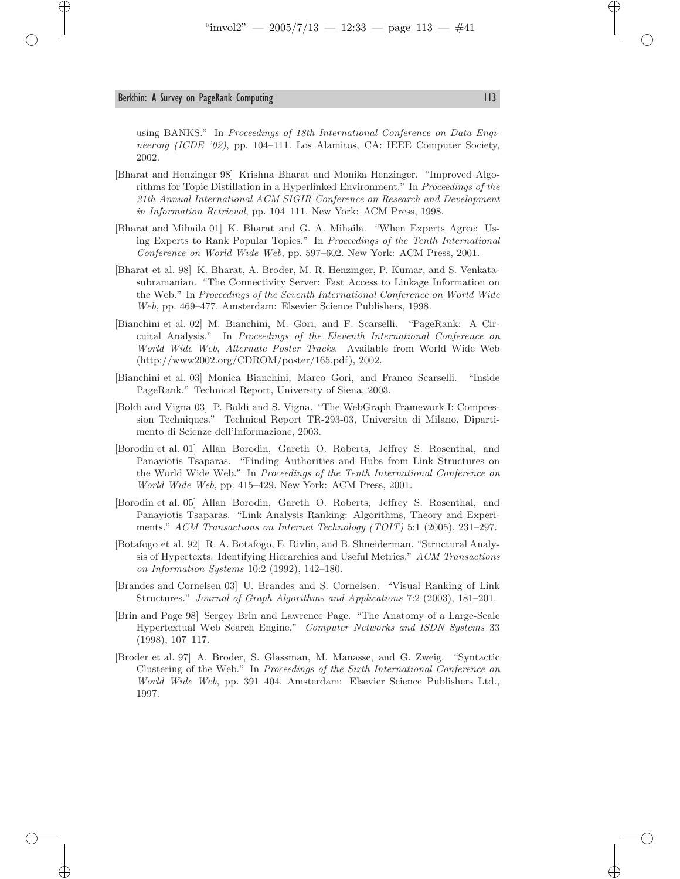✐

✐

✐

✐

using BANKS." In *Proceedings of 18th International Conference on Data Engineering (ICDE '02)*, pp. 104–111. Los Alamitos, CA: IEEE Computer Society, 2002.

- [Bharat and Henzinger 98] Krishna Bharat and Monika Henzinger. "Improved Algorithms for Topic Distillation in a Hyperlinked Environment." In *Proceedings of the 21th Annual International ACM SIGIR Conference on Research and Development in Information Retrieval*, pp. 104–111. New York: ACM Press, 1998.
- [Bharat and Mihaila 01] K. Bharat and G. A. Mihaila. "When Experts Agree: Using Experts to Rank Popular Topics." In *Proceedings of the Tenth International Conference on World Wide Web*, pp. 597–602. New York: ACM Press, 2001.
- [Bharat et al. 98] K. Bharat, A. Broder, M. R. Henzinger, P. Kumar, and S. Venkatasubramanian. "The Connectivity Server: Fast Access to Linkage Information on the Web." In *Proceedings of the Seventh International Conference on World Wide Web*, pp. 469–477. Amsterdam: Elsevier Science Publishers, 1998.
- [Bianchini et al. 02] M. Bianchini, M. Gori, and F. Scarselli. "PageRank: A Circuital Analysis." In *Proceedings of the Eleventh International Conference on World Wide Web*, *Alternate Poster Tracks*. Available from World Wide Web (http://www2002.org/CDROM/poster/165.pdf), 2002.
- [Bianchini et al. 03] Monica Bianchini, Marco Gori, and Franco Scarselli. "Inside PageRank." Technical Report, University of Siena, 2003.
- [Boldi and Vigna 03] P. Boldi and S. Vigna. "The WebGraph Framework I: Compression Techniques." Technical Report TR-293-03, Universita di Milano, Dipartimento di Scienze dell'Informazione, 2003.
- [Borodin et al. 01] Allan Borodin, Gareth O. Roberts, Jeffrey S. Rosenthal, and Panayiotis Tsaparas. "Finding Authorities and Hubs from Link Structures on the World Wide Web." In *Proceedings of the Tenth International Conference on World Wide Web*, pp. 415–429. New York: ACM Press, 2001.
- [Borodin et al. 05] Allan Borodin, Gareth O. Roberts, Jeffrey S. Rosenthal, and Panayiotis Tsaparas. "Link Analysis Ranking: Algorithms, Theory and Experiments." *ACM Transactions on Internet Technology (TOIT)* 5:1 (2005), 231–297.
- [Botafogo et al. 92] R. A. Botafogo, E. Rivlin, and B. Shneiderman. "Structural Analysis of Hypertexts: Identifying Hierarchies and Useful Metrics." *ACM Transactions on Information Systems* 10:2 (1992), 142–180.
- [Brandes and Cornelsen 03] U. Brandes and S. Cornelsen. "Visual Ranking of Link Structures." *Journal of Graph Algorithms and Applications* 7:2 (2003), 181–201.
- [Brin and Page 98] Sergey Brin and Lawrence Page. "The Anatomy of a Large-Scale Hypertextual Web Search Engine." *Computer Networks and ISDN Systems* 33 (1998), 107–117.
- [Broder et al. 97] A. Broder, S. Glassman, M. Manasse, and G. Zweig. "Syntactic Clustering of the Web." In *Proceedings of the Sixth International Conference on World Wide Web*, pp. 391–404. Amsterdam: Elsevier Science Publishers Ltd., 1997.

✐

✐

✐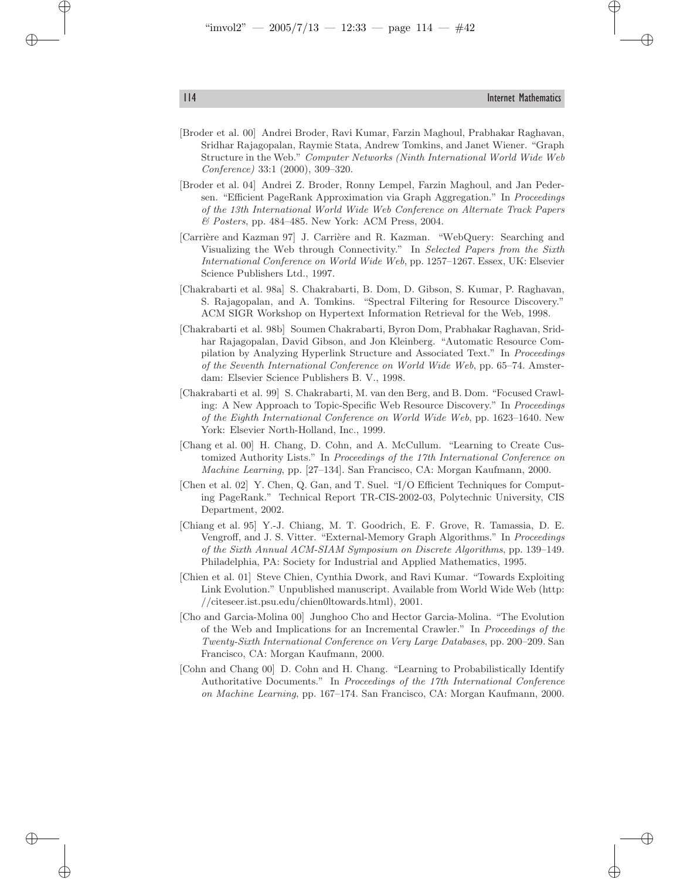✐

✐

✐

✐

- [Broder et al. 00] Andrei Broder, Ravi Kumar, Farzin Maghoul, Prabhakar Raghavan, Sridhar Rajagopalan, Raymie Stata, Andrew Tomkins, and Janet Wiener. "Graph Structure in the Web." *Computer Networks (Ninth International World Wide Web Conference)* 33:1 (2000), 309–320.
- [Broder et al. 04] Andrei Z. Broder, Ronny Lempel, Farzin Maghoul, and Jan Pedersen. "Efficient PageRank Approximation via Graph Aggregation." In *Proceedings of the 13th International World Wide Web Conference on Alternate Track Papers & Posters*, pp. 484–485. New York: ACM Press, 2004.
- [Carrière and Kazman 97] J. Carrière and R. Kazman. "WebQuery: Searching and Visualizing the Web through Connectivity." In *Selected Papers from the Sixth International Conference on World Wide Web*, pp. 1257–1267. Essex, UK: Elsevier Science Publishers Ltd., 1997.
- [Chakrabarti et al. 98a] S. Chakrabarti, B. Dom, D. Gibson, S. Kumar, P. Raghavan, S. Rajagopalan, and A. Tomkins. "Spectral Filtering for Resource Discovery." ACM SIGR Workshop on Hypertext Information Retrieval for the Web, 1998.
- [Chakrabarti et al. 98b] Soumen Chakrabarti, Byron Dom, Prabhakar Raghavan, Sridhar Rajagopalan, David Gibson, and Jon Kleinberg. "Automatic Resource Compilation by Analyzing Hyperlink Structure and Associated Text." In *Proceedings of the Seventh International Conference on World Wide Web*, pp. 65–74. Amsterdam: Elsevier Science Publishers B. V., 1998.
- [Chakrabarti et al. 99] S. Chakrabarti, M. van den Berg, and B. Dom. "Focused Crawling: A New Approach to Topic-Specific Web Resource Discovery." In *Proceedings of the Eighth International Conference on World Wide Web*, pp. 1623–1640. New York: Elsevier North-Holland, Inc., 1999.
- [Chang et al. 00] H. Chang, D. Cohn, and A. McCullum. "Learning to Create Customized Authority Lists." In *Proceedings of the 17th International Conference on Machine Learning*, pp. [27–134]. San Francisco, CA: Morgan Kaufmann, 2000.
- [Chen et al. 02] Y. Chen, Q. Gan, and T. Suel. "I/O Efficient Techniques for Computing PageRank." Technical Report TR-CIS-2002-03, Polytechnic University, CIS Department, 2002.
- [Chiang et al. 95] Y.-J. Chiang, M. T. Goodrich, E. F. Grove, R. Tamassia, D. E. Vengroff, and J. S. Vitter. "External-Memory Graph Algorithms." In *Proceedings of the Sixth Annual ACM-SIAM Symposium on Discrete Algorithms*, pp. 139–149. Philadelphia, PA: Society for Industrial and Applied Mathematics, 1995.
- [Chien et al. 01] Steve Chien, Cynthia Dwork, and Ravi Kumar. "Towards Exploiting Link Evolution." Unpublished manuscript. Available from World Wide Web (http: //citeseer.ist.psu.edu/chien0ltowards.html), 2001.
- [Cho and Garcia-Molina 00] Junghoo Cho and Hector Garcia-Molina. "The Evolution of the Web and Implications for an Incremental Crawler." In *Proceedings of the Twenty-Sixth International Conference on Very Large Databases*, pp. 200–209. San Francisco, CA: Morgan Kaufmann, 2000.
- [Cohn and Chang 00] D. Cohn and H. Chang. "Learning to Probabilistically Identify Authoritative Documents." In *Proceedings of the 17th International Conference on Machine Learning*, pp. 167–174. San Francisco, CA: Morgan Kaufmann, 2000.

✐

✐

✐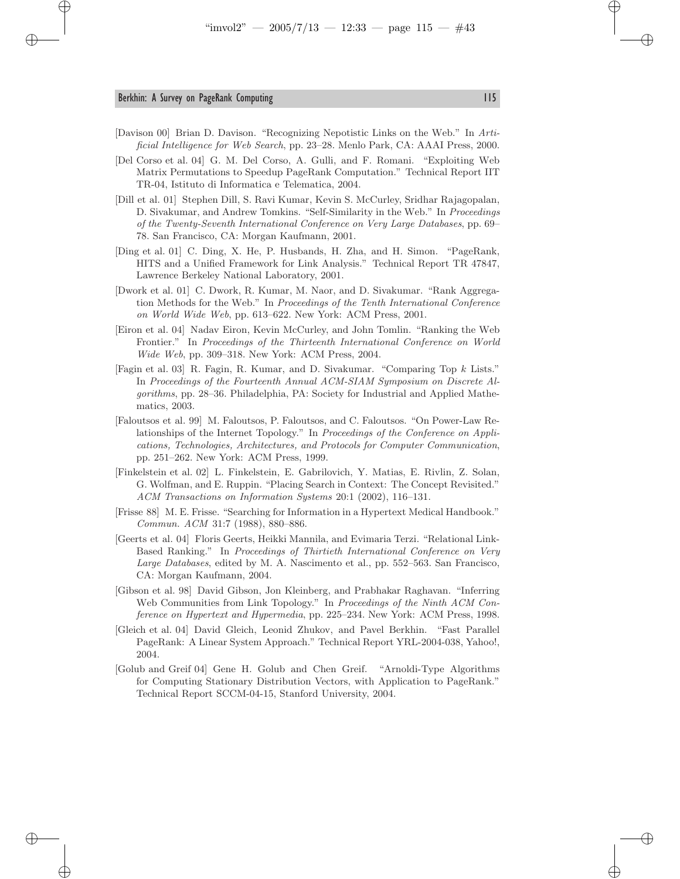✐

✐

✐

✐

✐

✐

✐

- [Davison 00] Brian D. Davison. "Recognizing Nepotistic Links on the Web." In *Artificial Intelligence for Web Search*, pp. 23–28. Menlo Park, CA: AAAI Press, 2000.
- [Del Corso et al. 04] G. M. Del Corso, A. Gulli, and F. Romani. "Exploiting Web Matrix Permutations to Speedup PageRank Computation." Technical Report IIT TR-04, Istituto di Informatica e Telematica, 2004.
- [Dill et al. 01] Stephen Dill, S. Ravi Kumar, Kevin S. McCurley, Sridhar Rajagopalan, D. Sivakumar, and Andrew Tomkins. "Self-Similarity in the Web." In *Proceedings of the Twenty-Seventh International Conference on Very Large Databases*, pp. 69– 78. San Francisco, CA: Morgan Kaufmann, 2001.
- [Ding et al. 01] C. Ding, X. He, P. Husbands, H. Zha, and H. Simon. "PageRank, HITS and a Unified Framework for Link Analysis." Technical Report TR 47847, Lawrence Berkeley National Laboratory, 2001.
- [Dwork et al. 01] C. Dwork, R. Kumar, M. Naor, and D. Sivakumar. "Rank Aggregation Methods for the Web." In *Proceedings of the Tenth International Conference on World Wide Web*, pp. 613–622. New York: ACM Press, 2001.
- [Eiron et al. 04] Nadav Eiron, Kevin McCurley, and John Tomlin. "Ranking the Web Frontier." In *Proceedings of the Thirteenth International Conference on World Wide Web*, pp. 309–318. New York: ACM Press, 2004.
- [Fagin et al. 03] R. Fagin, R. Kumar, and D. Sivakumar. "Comparing Top *k* Lists." In *Proceedings of the Fourteenth Annual ACM-SIAM Symposium on Discrete Algorithms*, pp. 28–36. Philadelphia, PA: Society for Industrial and Applied Mathematics, 2003.
- [Faloutsos et al. 99] M. Faloutsos, P. Faloutsos, and C. Faloutsos. "On Power-Law Relationships of the Internet Topology." In *Proceedings of the Conference on Applications, Technologies, Architectures, and Protocols for Computer Communication*, pp. 251–262. New York: ACM Press, 1999.
- [Finkelstein et al. 02] L. Finkelstein, E. Gabrilovich, Y. Matias, E. Rivlin, Z. Solan, G. Wolfman, and E. Ruppin. "Placing Search in Context: The Concept Revisited." *ACM Transactions on Information Systems* 20:1 (2002), 116–131.
- [Frisse 88] M. E. Frisse. "Searching for Information in a Hypertext Medical Handbook." *Commun. ACM* 31:7 (1988), 880–886.
- [Geerts et al. 04] Floris Geerts, Heikki Mannila, and Evimaria Terzi. "Relational Link-Based Ranking." In *Proceedings of Thirtieth International Conference on Very Large Databases*, edited by M. A. Nascimento et al., pp. 552–563. San Francisco, CA: Morgan Kaufmann, 2004.
- [Gibson et al. 98] David Gibson, Jon Kleinberg, and Prabhakar Raghavan. "Inferring Web Communities from Link Topology." In *Proceedings of the Ninth ACM Conference on Hypertext and Hypermedia*, pp. 225–234. New York: ACM Press, 1998.
- [Gleich et al. 04] David Gleich, Leonid Zhukov, and Pavel Berkhin. "Fast Parallel PageRank: A Linear System Approach." Technical Report YRL-2004-038, Yahoo!, 2004.
- [Golub and Greif 04] Gene H. Golub and Chen Greif. "Arnoldi-Type Algorithms for Computing Stationary Distribution Vectors, with Application to PageRank." Technical Report SCCM-04-15, Stanford University, 2004.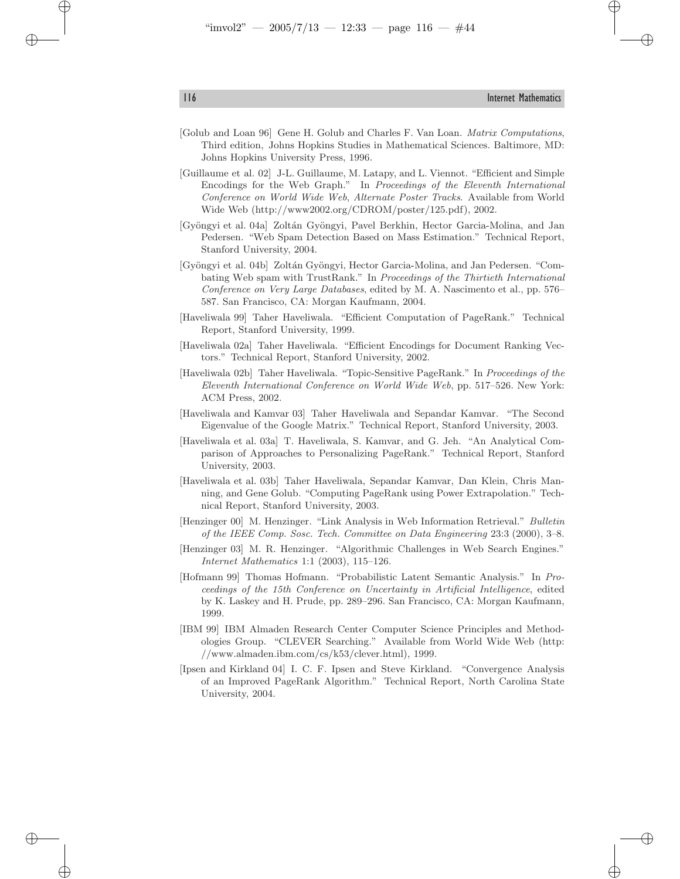✐

✐

✐

✐

- [Golub and Loan 96] Gene H. Golub and Charles F. Van Loan. *Matrix Computations*, Third edition, Johns Hopkins Studies in Mathematical Sciences. Baltimore, MD: Johns Hopkins University Press, 1996.
- [Guillaume et al. 02] J-L. Guillaume, M. Latapy, and L. Viennot. "Efficient and Simple Encodings for the Web Graph." In *Proceedings of the Eleventh International Conference on World Wide Web*, *Alternate Poster Tracks*. Available from World Wide Web (http://www2002.org/CDROM/poster/125.pdf), 2002.
- [Gyöngyi et al. 04a] Zoltán Gyöngyi, Pavel Berkhin, Hector Garcia-Molina, and Jan Pedersen. "Web Spam Detection Based on Mass Estimation." Technical Report, Stanford University, 2004.
- [Gyöngyi et al. 04b] Zoltán Gyöngyi, Hector Garcia-Molina, and Jan Pedersen. "Combating Web spam with TrustRank." In *Proceedings of the Thirtieth International Conference on Very Large Databases*, edited by M. A. Nascimento et al., pp. 576– 587. San Francisco, CA: Morgan Kaufmann, 2004.
- [Haveliwala 99] Taher Haveliwala. "Efficient Computation of PageRank." Technical Report, Stanford University, 1999.
- [Haveliwala 02a] Taher Haveliwala. "Efficient Encodings for Document Ranking Vectors." Technical Report, Stanford University, 2002.
- [Haveliwala 02b] Taher Haveliwala. "Topic-Sensitive PageRank." In *Proceedings of the Eleventh International Conference on World Wide Web*, pp. 517–526. New York: ACM Press, 2002.
- [Haveliwala and Kamvar 03] Taher Haveliwala and Sepandar Kamvar. "The Second Eigenvalue of the Google Matrix." Technical Report, Stanford University, 2003.
- [Haveliwala et al. 03a] T. Haveliwala, S. Kamvar, and G. Jeh. "An Analytical Comparison of Approaches to Personalizing PageRank." Technical Report, Stanford University, 2003.
- [Haveliwala et al. 03b] Taher Haveliwala, Sepandar Kamvar, Dan Klein, Chris Manning, and Gene Golub. "Computing PageRank using Power Extrapolation." Technical Report, Stanford University, 2003.
- [Henzinger 00] M. Henzinger. "Link Analysis in Web Information Retrieval." *Bulletin of the IEEE Comp. Sosc. Tech. Committee on Data Engineering* 23:3 (2000), 3–8.
- [Henzinger 03] M. R. Henzinger. "Algorithmic Challenges in Web Search Engines." *Internet Mathematics* 1:1 (2003), 115–126.
- [Hofmann 99] Thomas Hofmann. "Probabilistic Latent Semantic Analysis." In *Proceedings of the 15th Conference on Uncertainty in Artificial Intelligence*, edited by K. Laskey and H. Prude, pp. 289–296. San Francisco, CA: Morgan Kaufmann, 1999.
- [IBM 99] IBM Almaden Research Center Computer Science Principles and Methodologies Group. "CLEVER Searching." Available from World Wide Web (http: //www.almaden.ibm.com/cs/k53/clever.html), 1999.
- [Ipsen and Kirkland 04] I. C. F. Ipsen and Steve Kirkland. "Convergence Analysis of an Improved PageRank Algorithm." Technical Report, North Carolina State University, 2004.

✐

✐

✐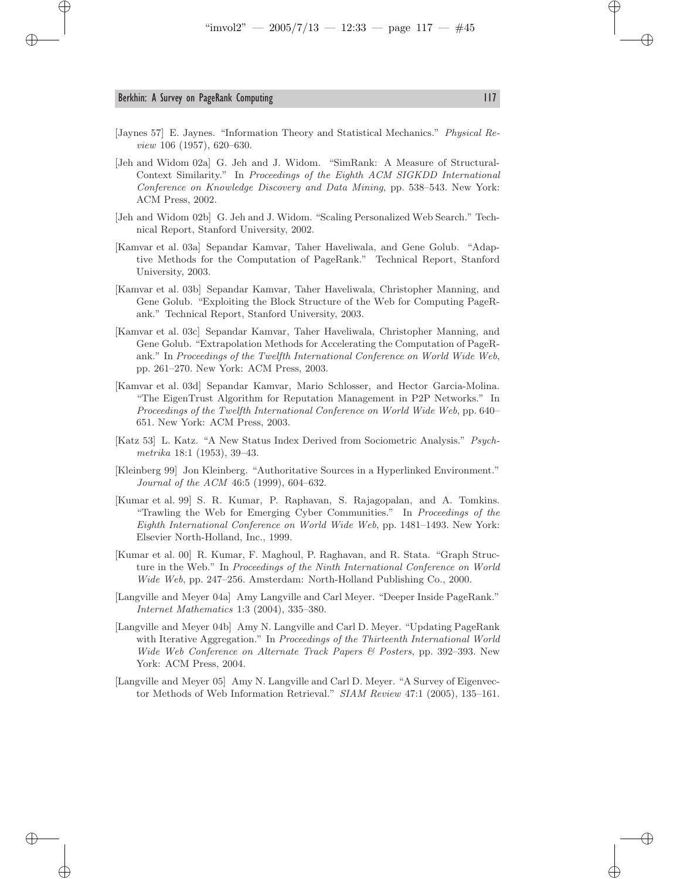"imvol2" — 2005/7/13 — 12:33 — page 117 — #45

# Berkhin: A Survey on PageRank Computing 117

✐

✐

✐

✐

- [Jaynes 57] E. Jaynes. "Information Theory and Statistical Mechanics." *Physical Review* 106 (1957), 620–630.
- [Jeh and Widom 02a] G. Jeh and J. Widom. "SimRank: A Measure of Structural-Context Similarity." In *Proceedings of the Eighth ACM SIGKDD International Conference on Knowledge Discovery and Data Mining*, pp. 538–543. New York: ACM Press, 2002.
- [Jeh and Widom 02b] G. Jeh and J. Widom. "Scaling Personalized Web Search." Technical Report, Stanford University, 2002.
- [Kamvar et al. 03a] Sepandar Kamvar, Taher Haveliwala, and Gene Golub. "Adaptive Methods for the Computation of PageRank." Technical Report, Stanford University, 2003.
- [Kamvar et al. 03b] Sepandar Kamvar, Taher Haveliwala, Christopher Manning, and Gene Golub. "Exploiting the Block Structure of the Web for Computing PageRank." Technical Report, Stanford University, 2003.
- [Kamvar et al. 03c] Sepandar Kamvar, Taher Haveliwala, Christopher Manning, and Gene Golub. "Extrapolation Methods for Accelerating the Computation of PageRank." In *Proceedings of the Twelfth International Conference on World Wide Web*, pp. 261–270. New York: ACM Press, 2003.
- [Kamvar et al. 03d] Sepandar Kamvar, Mario Schlosser, and Hector Garcia-Molina. "The EigenTrust Algorithm for Reputation Management in P2P Networks." In *Proceedings of the Twelfth International Conference on World Wide Web*, pp. 640– 651. New York: ACM Press, 2003.
- [Katz 53] L. Katz. "A New Status Index Derived from Sociometric Analysis." *Psychmetrika* 18:1 (1953), 39–43.
- [Kleinberg 99] Jon Kleinberg. "Authoritative Sources in a Hyperlinked Environment." *Journal of the ACM* 46:5 (1999), 604–632.
- [Kumar et al. 99] S. R. Kumar, P. Raphavan, S. Rajagopalan, and A. Tomkins. "Trawling the Web for Emerging Cyber Communities." In *Proceedings of the Eighth International Conference on World Wide Web*, pp. 1481–1493. New York: Elsevier North-Holland, Inc., 1999.
- [Kumar et al. 00] R. Kumar, F. Maghoul, P. Raghavan, and R. Stata. "Graph Structure in the Web." In *Proceedings of the Ninth International Conference on World Wide Web*, pp. 247–256. Amsterdam: North-Holland Publishing Co., 2000.
- [Langville and Meyer 04a] Amy Langville and Carl Meyer. "Deeper Inside PageRank." *Internet Mathematics* 1:3 (2004), 335–380.
- [Langville and Meyer 04b] Amy N. Langville and Carl D. Meyer. "Updating PageRank with Iterative Aggregation." In *Proceedings of the Thirteenth International World Wide Web Conference on Alternate Track Papers & Posters*, pp. 392–393. New York: ACM Press, 2004.
- [Langville and Meyer 05] Amy N. Langville and Carl D. Meyer. "A Survey of Eigenvector Methods of Web Information Retrieval." *SIAM Review* 47:1 (2005), 135–161.

✐

✐

✐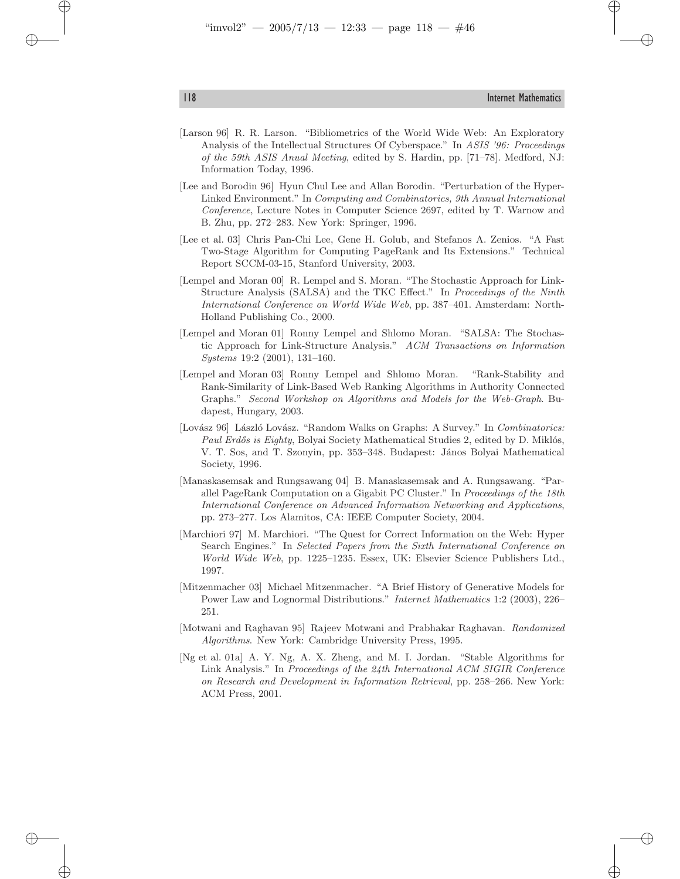✐

✐

✐

✐

- [Larson 96] R. R. Larson. "Bibliometrics of the World Wide Web: An Exploratory Analysis of the Intellectual Structures Of Cyberspace." In *ASIS '96: Proceedings of the 59th ASIS Anual Meeting*, edited by S. Hardin, pp. [71–78]. Medford, NJ: Information Today, 1996.
- [Lee and Borodin 96] Hyun Chul Lee and Allan Borodin. "Perturbation of the Hyper-Linked Environment." In *Computing and Combinatorics, 9th Annual International Conference*, Lecture Notes in Computer Science 2697, edited by T. Warnow and B. Zhu, pp. 272–283. New York: Springer, 1996.
- [Lee et al. 03] Chris Pan-Chi Lee, Gene H. Golub, and Stefanos A. Zenios. "A Fast Two-Stage Algorithm for Computing PageRank and Its Extensions." Technical Report SCCM-03-15, Stanford University, 2003.
- [Lempel and Moran 00] R. Lempel and S. Moran. "The Stochastic Approach for Link-Structure Analysis (SALSA) and the TKC Effect." In *Proceedings of the Ninth International Conference on World Wide Web*, pp. 387–401. Amsterdam: North-Holland Publishing Co., 2000.
- [Lempel and Moran 01] Ronny Lempel and Shlomo Moran. "SALSA: The Stochastic Approach for Link-Structure Analysis." *ACM Transactions on Information Systems* 19:2 (2001), 131–160.
- [Lempel and Moran 03] Ronny Lempel and Shlomo Moran. "Rank-Stability and Rank-Similarity of Link-Based Web Ranking Algorithms in Authority Connected Graphs." *Second Workshop on Algorithms and Models for the Web-Graph*. Budapest, Hungary, 2003.
- [Lov´asz 96] L´aszl´o Lov´asz. "Random Walks on Graphs: A Survey." In *Combinatorics:* Paul Erdős is Eighty, Bolyai Society Mathematical Studies 2, edited by D. Miklós, V. T. Sos, and T. Szonyin, pp. 353–348. Budapest: János Bolyai Mathematical Society, 1996.
- [Manaskasemsak and Rungsawang 04] B. Manaskasemsak and A. Rungsawang. "Parallel PageRank Computation on a Gigabit PC Cluster." In *Proceedings of the 18th International Conference on Advanced Information Networking and Applications*, pp. 273–277. Los Alamitos, CA: IEEE Computer Society, 2004.
- [Marchiori 97] M. Marchiori. "The Quest for Correct Information on the Web: Hyper Search Engines." In *Selected Papers from the Sixth International Conference on World Wide Web*, pp. 1225–1235. Essex, UK: Elsevier Science Publishers Ltd., 1997.
- [Mitzenmacher 03] Michael Mitzenmacher. "A Brief History of Generative Models for Power Law and Lognormal Distributions." *Internet Mathematics* 1:2 (2003), 226– 251.
- [Motwani and Raghavan 95] Rajeev Motwani and Prabhakar Raghavan. *Randomized Algorithms*. New York: Cambridge University Press, 1995.
- [Ng et al. 01a] A. Y. Ng, A. X. Zheng, and M. I. Jordan. "Stable Algorithms for Link Analysis." In *Proceedings of the 24th International ACM SIGIR Conference on Research and Development in Information Retrieval*, pp. 258–266. New York: ACM Press, 2001.

✐

✐

✐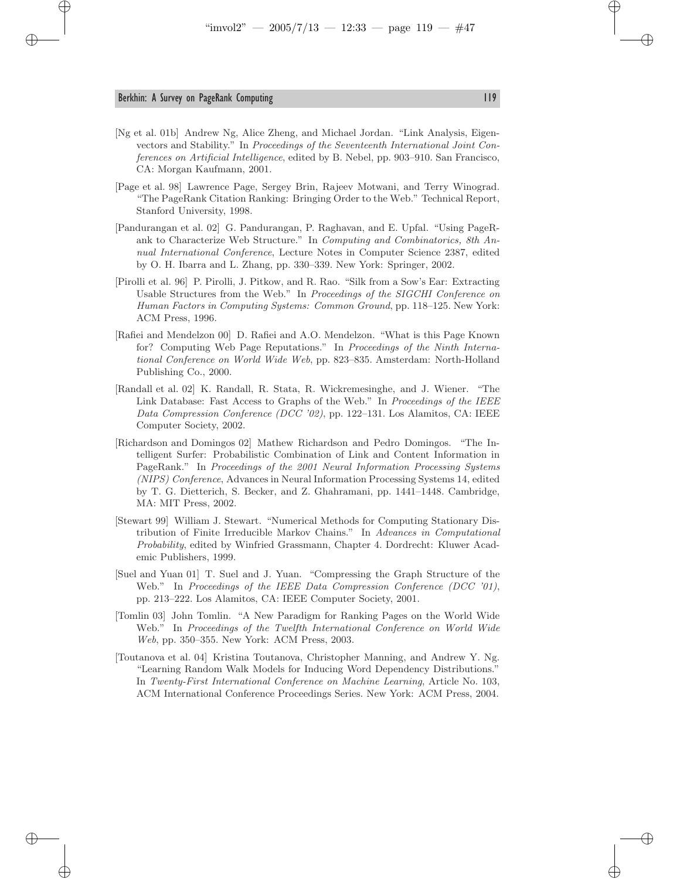✐

✐

✐

✐

- [Ng et al. 01b] Andrew Ng, Alice Zheng, and Michael Jordan. "Link Analysis, Eigenvectors and Stability." In *Proceedings of the Seventeenth International Joint Conferences on Artificial Intelligence*, edited by B. Nebel, pp. 903–910. San Francisco, CA: Morgan Kaufmann, 2001.
- [Page et al. 98] Lawrence Page, Sergey Brin, Rajeev Motwani, and Terry Winograd. "The PageRank Citation Ranking: Bringing Order to the Web." Technical Report, Stanford University, 1998.
- [Pandurangan et al. 02] G. Pandurangan, P. Raghavan, and E. Upfal. "Using PageRank to Characterize Web Structure." In *Computing and Combinatorics, 8th Annual International Conference*, Lecture Notes in Computer Science 2387, edited by O. H. Ibarra and L. Zhang, pp. 330–339. New York: Springer, 2002.
- [Pirolli et al. 96] P. Pirolli, J. Pitkow, and R. Rao. "Silk from a Sow's Ear: Extracting Usable Structures from the Web." In *Proceedings of the SIGCHI Conference on Human Factors in Computing Systems: Common Ground*, pp. 118–125. New York: ACM Press, 1996.
- [Rafiei and Mendelzon 00] D. Rafiei and A.O. Mendelzon. "What is this Page Known for? Computing Web Page Reputations." In *Proceedings of the Ninth International Conference on World Wide Web*, pp. 823–835. Amsterdam: North-Holland Publishing Co., 2000.
- [Randall et al. 02] K. Randall, R. Stata, R. Wickremesinghe, and J. Wiener. "The Link Database: Fast Access to Graphs of the Web." In *Proceedings of the IEEE Data Compression Conference (DCC '02)*, pp. 122–131. Los Alamitos, CA: IEEE Computer Society, 2002.
- [Richardson and Domingos 02] Mathew Richardson and Pedro Domingos. "The Intelligent Surfer: Probabilistic Combination of Link and Content Information in PageRank." In *Proceedings of the 2001 Neural Information Processing Systems (NIPS) Conference*, Advances in Neural Information Processing Systems 14, edited by T. G. Dietterich, S. Becker, and Z. Ghahramani, pp. 1441–1448. Cambridge, MA: MIT Press, 2002.
- [Stewart 99] William J. Stewart. "Numerical Methods for Computing Stationary Distribution of Finite Irreducible Markov Chains." In *Advances in Computational Probability*, edited by Winfried Grassmann, Chapter 4. Dordrecht: Kluwer Academic Publishers, 1999.
- [Suel and Yuan 01] T. Suel and J. Yuan. "Compressing the Graph Structure of the Web." In *Proceedings of the IEEE Data Compression Conference (DCC '01)*, pp. 213–222. Los Alamitos, CA: IEEE Computer Society, 2001.
- [Tomlin 03] John Tomlin. "A New Paradigm for Ranking Pages on the World Wide Web." In *Proceedings of the Twelfth International Conference on World Wide Web*, pp. 350–355. New York: ACM Press, 2003.
- [Toutanova et al. 04] Kristina Toutanova, Christopher Manning, and Andrew Y. Ng. "Learning Random Walk Models for Inducing Word Dependency Distributions." In *Twenty-First International Conference on Machine Learning*, Article No. 103, ACM International Conference Proceedings Series. New York: ACM Press, 2004.

✐

✐

✐